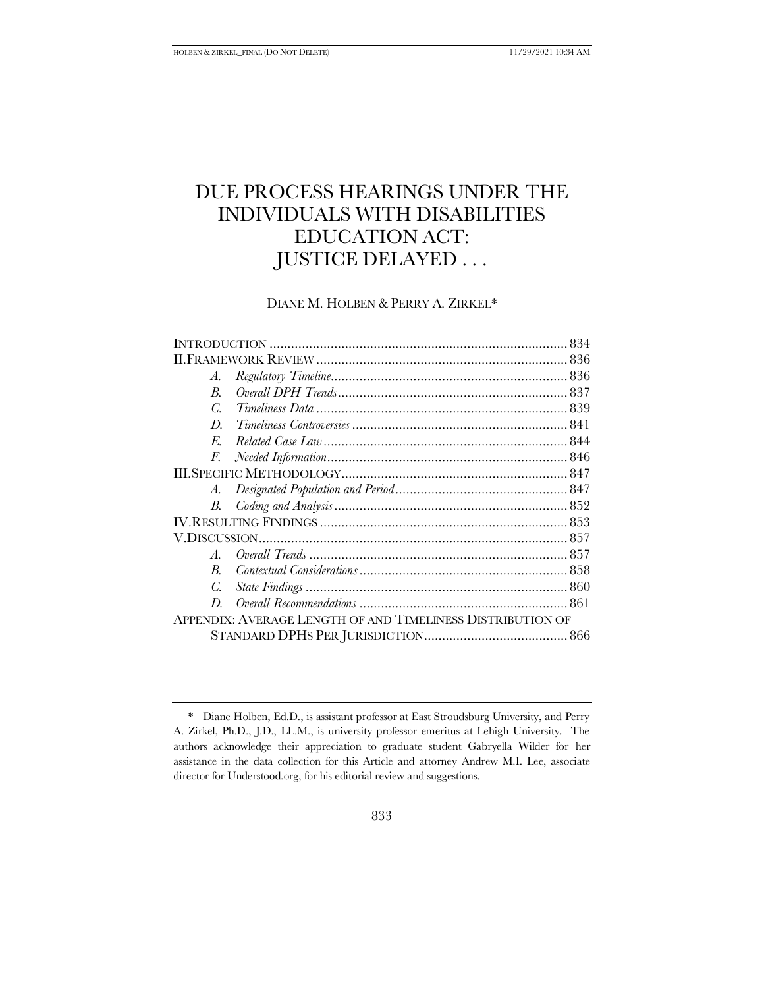# DUE PROCESS HEARINGS UNDER THE INDIVIDUALS WITH DISABILITIES EDUCATION ACT: JUSTICE DELAYED . . .

# DIANE M. HOLBEN & PERRY A. ZIRKEL\*

| А.               |                                                            |  |
|------------------|------------------------------------------------------------|--|
| $\boldsymbol{B}$ |                                                            |  |
| C.               |                                                            |  |
| D                |                                                            |  |
| E.               |                                                            |  |
| F.               |                                                            |  |
|                  |                                                            |  |
| A.               |                                                            |  |
| В.               |                                                            |  |
|                  |                                                            |  |
|                  |                                                            |  |
| $\mathcal{A}$ .  |                                                            |  |
| <sub>R</sub>     |                                                            |  |
| C.               |                                                            |  |
| D                |                                                            |  |
|                  | APPENDIX: AVERAGE LENGTH OF AND TIMELINESS DISTRIBUTION OF |  |
|                  |                                                            |  |
|                  |                                                            |  |

<sup>\*</sup> Diane Holben, Ed.D., is assistant professor at East Stroudsburg University, and Perry A. Zirkel, Ph.D., J.D., LL.M., is university professor emeritus at Lehigh University. The authors acknowledge their appreciation to graduate student Gabryella Wilder for her assistance in the data collection for this Article and attorney Andrew M.I. Lee, associate director for Understood.org, for his editorial review and suggestions.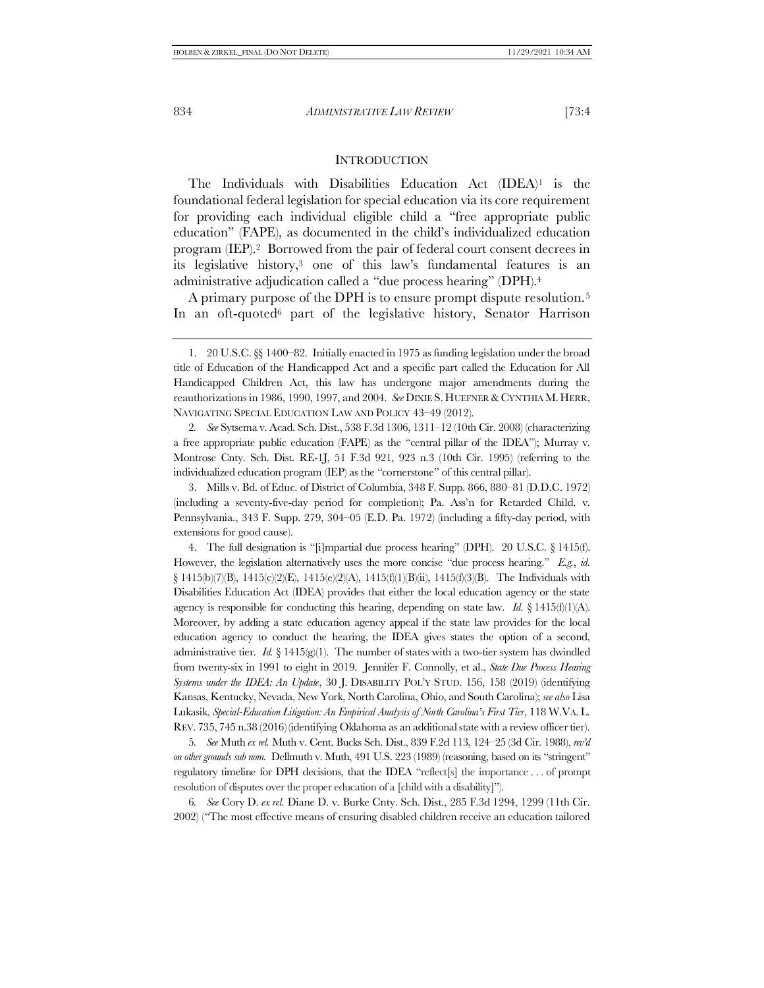# <span id="page-1-1"></span><span id="page-1-0"></span>**INTRODUCTION**

The Individuals with Disabilities Education Act (IDEA)<sup>1</sup> is the foundational federal legislation for special education via its core requirement for providing each individual eligible child a "free appropriate public education" (FAPE), as documented in the child's individualized education program (IEP).2 Borrowed from the pair of federal court consent decrees in its legislative history,<sup>3</sup> one of this law's fundamental features is an administrative adjudication called a "due process hearing" (DPH).<sup>4</sup>

A primary purpose of the DPH is to ensure prompt dispute resolution.<sup>5</sup> In an oft-quoted<sup>6</sup> part of the legislative history, Senator Harrison

2*. See* Sytsema v. Acad. Sch. Dist., 538 F.3d 1306, 1311–12 (10th Cir. 2008) (characterizing a free appropriate public education (FAPE) as the "central pillar of the IDEA"); Murray v. Montrose Cnty. Sch. Dist. RE-1J, 51 F.3d 921, 923 n.3 (10th Cir. 1995) (referring to the individualized education program (IEP) as the "cornerstone" of this central pillar).

3. Mills v. Bd. of Educ. of District of Columbia, 348 F. Supp. 866, 880–81 (D.D.C. 1972) (including a seventy-five-day period for completion); Pa. Ass'n for Retarded Child. v. Pennsylvania., 343 F. Supp. 279, 304–05 (E.D. Pa. 1972) (including a fifty-day period, with extensions for good cause).

4. The full designation is "[i]mpartial due process hearing" (DPH). 20 U.S.C. § 1415(f). However, the legislation alternatively uses the more concise "due process hearing." *E.g.*, *id.* § 1415(b)(7)(B), 1415(c)(2)(E), 1415(e)(2)(A), 1415(f)(1)(B)(ii), 1415(f)(3)(B). The Individuals with Disabilities Education Act (IDEA) provides that either the local education agency or the state agency is responsible for conducting this hearing, depending on state law. *Id.*  $\S$  1415(f)(1)(A). Moreover, by adding a state education agency appeal if the state law provides for the local education agency to conduct the hearing, the IDEA gives states the option of a second, administrative tier.  $Id. \S 1415(g)(1)$ . The number of states with a two-tier system has dwindled from twenty-six in 1991 to eight in 2019. Jennifer F. Connolly, et al., *State Due Process Hearing Systems under the IDEA: An Update*, 30 J. DISABILITY POL'Y STUD. 156, 158 (2019) (identifying Kansas, Kentucky, Nevada, New York, North Carolina, Ohio, and South Carolina); *see also* Lisa Lukasik, *Special-Education Litigation: An Empirical Analysis of North Carolina's First Tier*, 118 W.VA. L. REV. 735, 745 n.38 (2016) (identifying Oklahoma as an additional state with a review officer tier).

5*. See* Muth *ex rel.* Muth v. Cent. Bucks Sch. Dist., 839 F.2d 113, 124–25 (3d Cir. 1988), *rev'd on other grounds sub nom.* Dellmuth v. Muth, 491 U.S. 223 (1989) (reasoning, based on its "stringent" regulatory timeline for DPH decisions, that the IDEA "reflect[s] the importance . . . of prompt resolution of disputes over the proper education of a [child with a disability]").

6*. See* Cory D. *ex rel.* Diane D. v. Burke Cnty. Sch. Dist., 285 F.3d 1294, 1299 (11th Cir. 2002) ("The most effective means of ensuring disabled children receive an education tailored

<sup>1.</sup> 20 U.S.C. §§ 1400–82. Initially enacted in 1975 as funding legislation under the broad title of Education of the Handicapped Act and a specific part called the Education for All Handicapped Children Act, this law has undergone major amendments during the reauthorizations in 1986, 1990, 1997, and 2004. *See* DIXIE S. HUEFNER & CYNTHIA M.HERR, NAVIGATING SPECIAL EDUCATION LAW AND POLICY 43–49 (2012).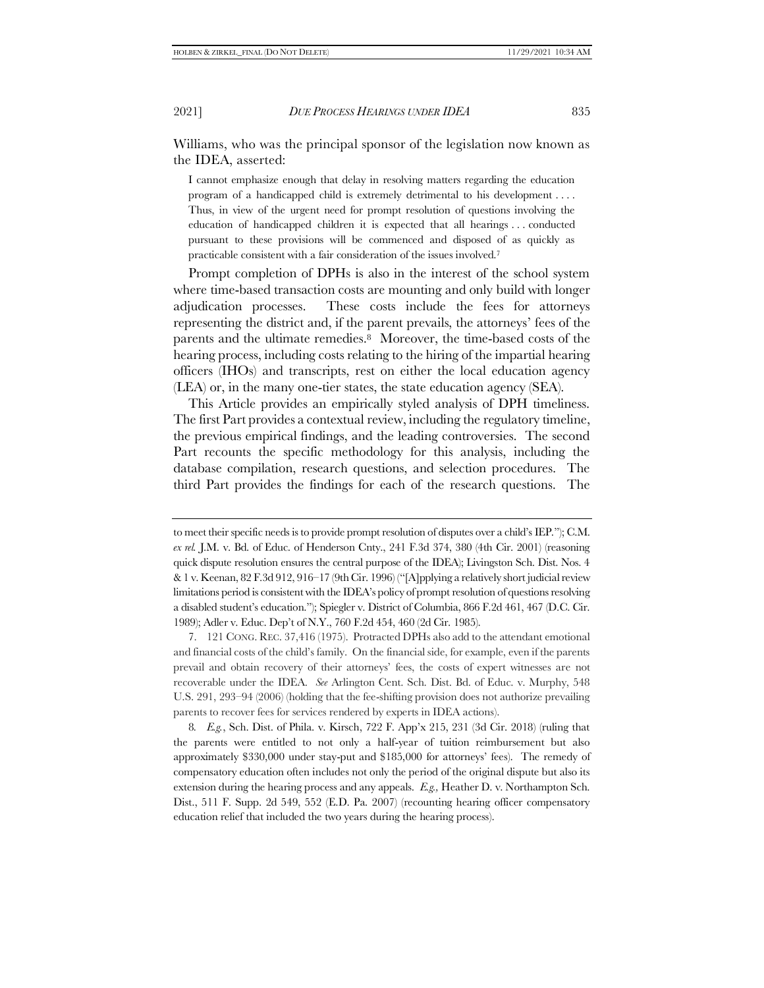Williams, who was the principal sponsor of the legislation now known as the IDEA, asserted:

<span id="page-2-0"></span>I cannot emphasize enough that delay in resolving matters regarding the education program of a handicapped child is extremely detrimental to his development . . . . Thus, in view of the urgent need for prompt resolution of questions involving the education of handicapped children it is expected that all hearings . . . conducted pursuant to these provisions will be commenced and disposed of as quickly as practicable consistent with a fair consideration of the issues involved.<sup>7</sup>

Prompt completion of DPHs is also in the interest of the school system where time-based transaction costs are mounting and only build with longer adjudication processes. These costs include the fees for attorneys representing the district and, if the parent prevails, the attorneys' fees of the parents and the ultimate remedies.<sup>8</sup> Moreover, the time-based costs of the hearing process, including costs relating to the hiring of the impartial hearing officers (IHOs) and transcripts, rest on either the local education agency (LEA) or, in the many one-tier states, the state education agency (SEA).

This Article provides an empirically styled analysis of DPH timeliness. The first Part provides a contextual review, including the regulatory timeline, the previous empirical findings, and the leading controversies. The second Part recounts the specific methodology for this analysis, including the database compilation, research questions, and selection procedures. The third Part provides the findings for each of the research questions. The

to meet their specific needs is to provide prompt resolution of disputes over a child's IEP."); C.M. *ex rel.* J.M. v. Bd. of Educ. of Henderson Cnty., 241 F.3d 374, 380 (4th Cir. 2001) (reasoning quick dispute resolution ensures the central purpose of the IDEA); Livingston Sch. Dist. Nos. 4 & 1 v. Keenan, 82 F.3d 912, 916–17 (9th Cir. 1996) ("[A]pplying a relatively short judicial review limitations period is consistent with the IDEA's policy of prompt resolution of questions resolving a disabled student's education."); Spiegler v. District of Columbia, 866 F.2d 461, 467 (D.C. Cir. 1989); Adler v. Educ. Dep't of N.Y., 760 F.2d 454, 460 (2d Cir. 1985).

<sup>7.</sup> 121 CONG. REC. 37,416 (1975). Protracted DPHs also add to the attendant emotional and financial costs of the child's family. On the financial side, for example, even if the parents prevail and obtain recovery of their attorneys' fees, the costs of expert witnesses are not recoverable under the IDEA. *See* Arlington Cent. Sch. Dist. Bd. of Educ. v. Murphy, 548 U.S. 291, 293–94 (2006) (holding that the fee-shifting provision does not authorize prevailing parents to recover fees for services rendered by experts in IDEA actions).

<sup>8</sup>*. E.g.*, Sch. Dist. of Phila. v. Kirsch, 722 F. App'x 215, 231 (3d Cir. 2018) (ruling that the parents were entitled to not only a half-year of tuition reimbursement but also approximately \$330,000 under stay-put and \$185,000 for attorneys' fees). The remedy of compensatory education often includes not only the period of the original dispute but also its extension during the hearing process and any appeals. *E.g.,* Heather D. v. Northampton Sch. Dist., 511 F. Supp. 2d 549, 552 (E.D. Pa. 2007) (recounting hearing officer compensatory education relief that included the two years during the hearing process).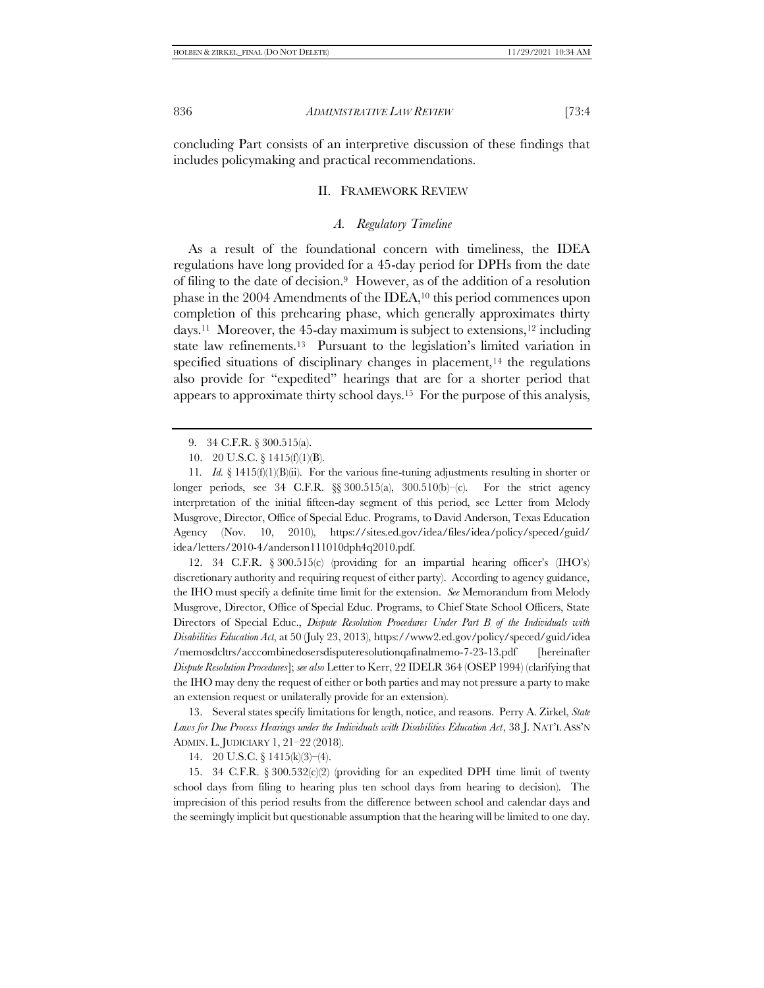concluding Part consists of an interpretive discussion of these findings that includes policymaking and practical recommendations.

### II. FRAMEWORK REVIEW

#### <span id="page-3-3"></span><span id="page-3-2"></span><span id="page-3-1"></span><span id="page-3-0"></span>*A. Regulatory Timeline*

As a result of the foundational concern with timeliness, the IDEA regulations have long provided for a 45-day period for DPHs from the date of filing to the date of decision.9 However, as of the addition of a resolution phase in the 2004 Amendments of the IDEA,<sup>10</sup> this period commences upon completion of this prehearing phase, which generally approximates thirty days.11 Moreover, the 45-day maximum is subject to extensions,<sup>12</sup> including state law refinements.13 Pursuant to the legislation's limited variation in specified situations of disciplinary changes in placement, $14$  the regulations also provide for "expedited" hearings that are for a shorter period that appears to approximate thirty school days.15 For the purpose of this analysis,

12. 34 C.F.R. § 300.515(c) (providing for an impartial hearing officer's (IHO's) discretionary authority and requiring request of either party). According to agency guidance, the IHO must specify a definite time limit for the extension. *See* Memorandum from Melody Musgrove, Director, Office of Special Educ. Programs, to Chief State School Officers, State Directors of Special Educ., *Dispute Resolution Procedures Under Part B of the Individuals with Disabilities Education Act*, at 50 (July 23, 2013), https://www2.ed.gov/policy/speced/guid/idea /memosdcltrs/acccombinedosersdisputeresolutionqafinalmemo-7-23-13.pdf [hereinafter *Dispute Resolution Procedures*]; *see also* Letter to Kerr, 22 IDELR 364 (OSEP 1994) (clarifying that the IHO may deny the request of either or both parties and may not pressure a party to make an extension request or unilaterally provide for an extension).

13. Several states specify limitations for length, notice, and reasons. Perry A. Zirkel, *State Laws for Due Process Hearings under the Individuals with Disabilities Education Act*, 38 J. NAT'L ASS'N ADMIN. L. JUDICIARY 1, 21–22 (2018).

14. 20 U.S.C. § 1415(k)(3)–(4).

15. 34 C.F.R.  $\S 300.532(c)(2)$  (providing for an expedited DPH time limit of twenty school days from filing to hearing plus ten school days from hearing to decision). The imprecision of this period results from the difference between school and calendar days and the seemingly implicit but questionable assumption that the hearing will be limited to one day.

<sup>9.</sup> 34 C.F.R. § 300.515(a).

<sup>10.</sup> 20 U.S.C. § 1415(f)(1)(B).

<sup>11</sup>*. Id.* § 1415(f)(1)(B)(ii). For the various fine-tuning adjustments resulting in shorter or longer periods, see 34 C.F.R.  $\S$  300.515(a), 300.510(b)–(c). For the strict agency interpretation of the initial fifteen-day segment of this period, see Letter from Melody Musgrove, Director, Office of Special Educ. Programs, to David Anderson, Texas Education Agency (Nov. 10, 2010), https://sites.ed.gov/idea/files/idea/policy/speced/guid/ idea/letters/2010-4/anderson111010dph4q2010.pdf.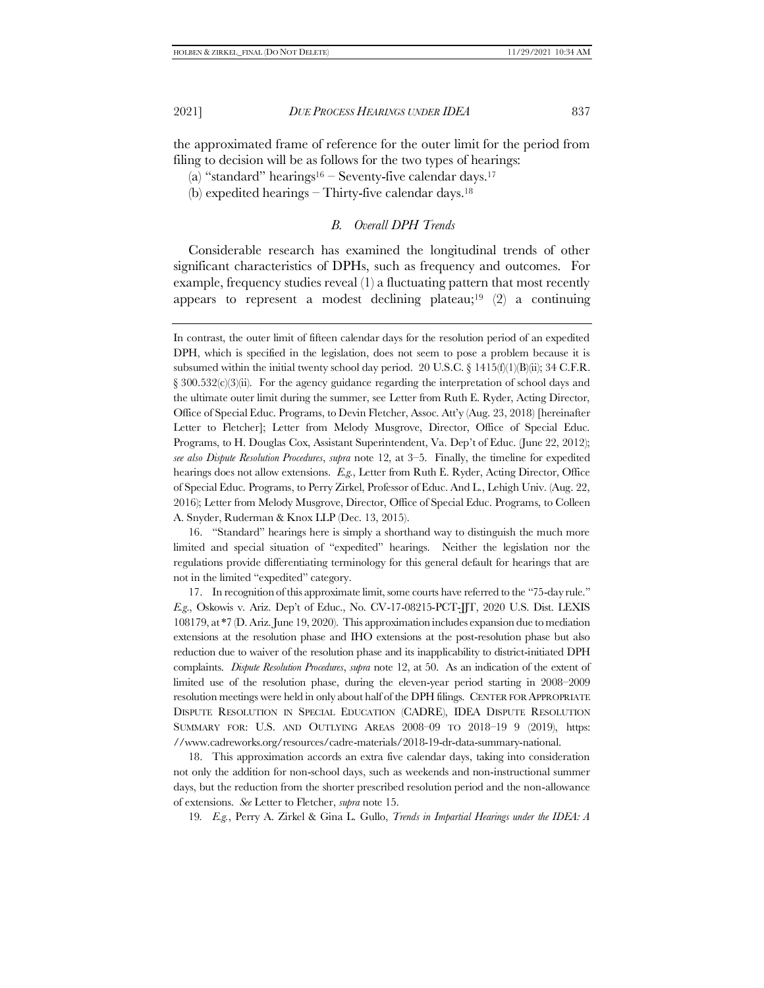the approximated frame of reference for the outer limit for the period from filing to decision will be as follows for the two types of hearings:

- (a) "standard" hearings $16 -$  Seventy-five calendar days.<sup>17</sup>
- (b) expedited hearings Thirty-five calendar days. 18

### <span id="page-4-3"></span><span id="page-4-2"></span><span id="page-4-1"></span><span id="page-4-0"></span>*B. Overall DPH Trends*

Considerable research has examined the longitudinal trends of other significant characteristics of DPHs, such as frequency and outcomes. For example, frequency studies reveal (1) a fluctuating pattern that most recently appears to represent a modest declining plateau;<sup>19</sup>  $(2)$  a continuing

16. "Standard" hearings here is simply a shorthand way to distinguish the much more limited and special situation of "expedited" hearings. Neither the legislation nor the regulations provide differentiating terminology for this general default for hearings that are not in the limited "expedited" category.

17. In recognition of this approximate limit, some courts have referred to the "75-day rule." *E.g*., Oskowis v. Ariz. Dep't of Educ., No. CV-17-08215-PCT-JJT, 2020 U.S. Dist. LEXIS 108179, at \*7 (D. Ariz. June 19, 2020). This approximation includes expansion due to mediation extensions at the resolution phase and IHO extensions at the post-resolution phase but also reduction due to waiver of the resolution phase and its inapplicability to district-initiated DPH complaints. *Dispute Resolution Procedures*, *supra* not[e 12,](#page-3-0) at 50. As an indication of the extent of limited use of the resolution phase, during the eleven-year period starting in 2008–2009 resolution meetings were held in only about half of the DPH filings. CENTER FOR APPROPRIATE DISPUTE RESOLUTION IN SPECIAL EDUCATION (CADRE), IDEA DISPUTE RESOLUTION SUMMARY FOR: U.S. AND OUTLYING AREAS 2008–09 TO 2018–19 9 (2019), https: //www.cadreworks.org/resources/cadre-materials/2018-19-dr-data-summary-national.

18. This approximation accords an extra five calendar days, taking into consideration not only the addition for non-school days, such as weekends and non-instructional summer days, but the reduction from the shorter prescribed resolution period and the non-allowance of extensions. *See* Letter to Fletcher, *supra* not[e 15.](#page-3-1)

19*. E.g.*, Perry A. Zirkel & Gina L. Gullo, *Trends in Impartial Hearings under the IDEA: A* 

In contrast, the outer limit of fifteen calendar days for the resolution period of an expedited DPH, which is specified in the legislation, does not seem to pose a problem because it is subsumed within the initial twenty school day period. 20 U.S.C. § 1415(f)(1)(B)(ii); 34 C.F.R.  $\S 300.532(c)(3)(ii)$ . For the agency guidance regarding the interpretation of school days and the ultimate outer limit during the summer, see Letter from Ruth E. Ryder, Acting Director, Office of Special Educ. Programs, to Devin Fletcher, Assoc. Att'y (Aug. 23, 2018) [hereinafter Letter to Fletcher]; [Letter](file:///C:/Users/bioba/Downloads/Letter) from Melody Musgrove, Director, Office of Special Educ. Programs, to H. Douglas Cox, Assistant Superintendent, Va. Dep't of Educ. (June 22, 2012); *see also Dispute Resolution Procedures*, *supra* note [12,](#page-3-0) at 3–5. Finally, the timeline for expedited hearings does not allow extensions. *E.g.*, Letter from Ruth E. Ryder, Acting Director, Office of Special Educ. Programs, to Perry Zirkel, Professor of Educ. And L., Lehigh Univ. (Aug. 22, 2016); Letter from Melody Musgrove, Director, Office of Special Educ. Programs, to Colleen A. Snyder, Ruderman & Knox LLP (Dec. 13, 2015).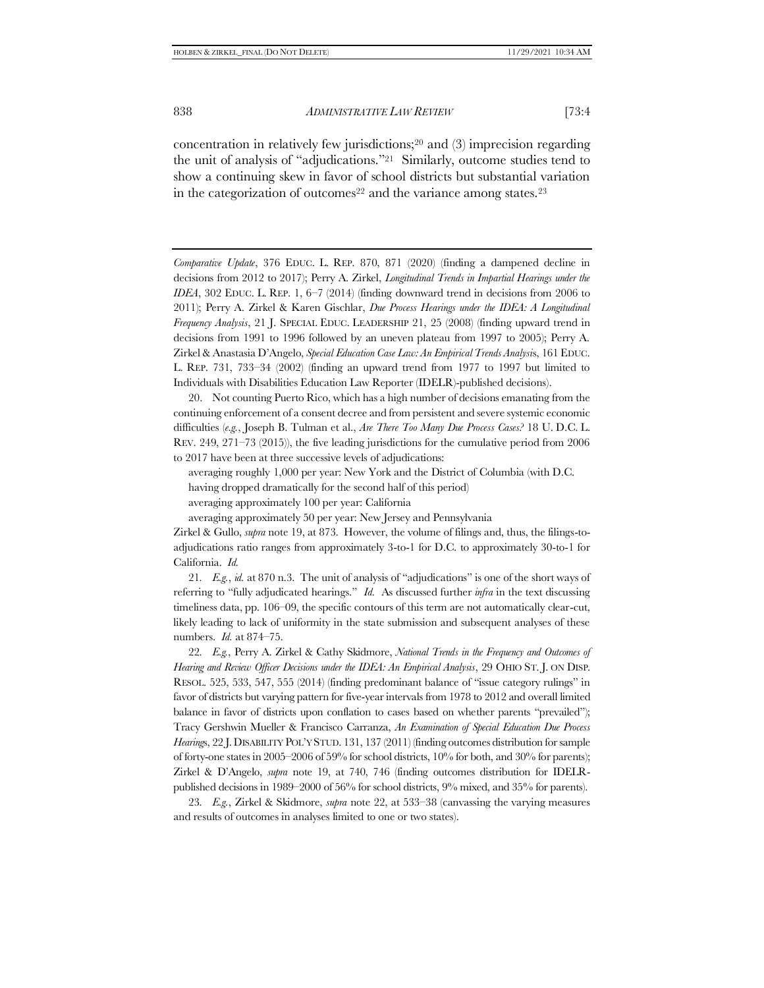<span id="page-5-1"></span><span id="page-5-0"></span>concentration in relatively few jurisdictions;<sup>20</sup> and (3) imprecision regarding the unit of analysis of "adjudications."21 Similarly, outcome studies tend to show a continuing skew in favor of school districts but substantial variation in the categorization of outcomes<sup>22</sup> and the variance among states.<sup>23</sup>

*Comparative Update*, 376 EDUC. L. REP. 870, 871 (2020) (finding a dampened decline in decisions from 2012 to 2017); Perry A. Zirkel, *Longitudinal Trends in Impartial Hearings under the IDEA*, 302 EDUC. L. REP. 1, 6–7 (2014) (finding downward trend in decisions from 2006 to 2011); Perry A. Zirkel & Karen Gischlar, *Due Process Hearings under the IDEA: A Longitudinal Frequency Analysis*, 21 J. SPECIAL EDUC. LEADERSHIP 21, 25 (2008) (finding upward trend in decisions from 1991 to 1996 followed by an uneven plateau from 1997 to 2005); Perry A. Zirkel & Anastasia D'Angelo, *Special Education Case Law: An Empirical Trends Analysi*s, 161 EDUC. L. REP. 731, 733–34 (2002) (finding an upward trend from 1977 to 1997 but limited to Individuals with Disabilities Education Law Reporter (IDELR)-published decisions).

20. Not counting Puerto Rico, which has a high number of decisions emanating from the continuing enforcement of a consent decree and from persistent and severe systemic economic difficulties (*e.g.*, Joseph B. Tulman et al., *Are There Too Many Due Process Cases?* 18 U. D.C. L. REV. 249, 271–73 (2015)), the five leading jurisdictions for the cumulative period from 2006 to 2017 have been at three successive levels of adjudications:

averaging roughly 1,000 per year: New York and the District of Columbia (with D.C. having dropped dramatically for the second half of this period) averaging approximately 100 per year: California

averaging approximately 50 per year: New Jersey and Pennsylvania

Zirkel & Gullo, *supra* not[e 19,](#page-4-0) at 873. However, the volume of filings and, thus, the filings-toadjudications ratio ranges from approximately 3-to-1 for D.C. to approximately 30-to-1 for California. *Id.*

21*. E.g.*, *id.* at 870 n.3. The unit of analysis of "adjudications" is one of the short ways of referring to "fully adjudicated hearings." *Id.* As discussed further *infra* in the text discussing timeliness data, pp. 106–09, the specific contours of this term are not automatically clear-cut, likely leading to lack of uniformity in the state submission and subsequent analyses of these numbers. *Id.* at 874–75.

22*. E.g.*, Perry A. Zirkel & Cathy Skidmore, *National Trends in the Frequency and Outcomes of Hearing and Review Officer Decisions under the IDEA: An Empirical Analysis*, 29 OHIO ST. J. ON DISP. RESOL. 525, 533, 547, 555 (2014) (finding predominant balance of "issue category rulings" in favor of districts but varying pattern for five-year intervals from 1978 to 2012 and overall limited balance in favor of districts upon conflation to cases based on whether parents "prevailed"); Tracy Gershwin Mueller & Francisco Carranza, *An Examination of Special Education Due Process Hearing*s, 22 J.DISABILITY POL'Y STUD. 131, 137 (2011) (finding outcomes distribution for sample of forty-one states in 2005–2006 of 59% for school districts, 10% for both, and 30% for parents); Zirkel & D'Angelo, *supra* note [19,](#page-4-0) at 740, 746 (finding outcomes distribution for IDELRpublished decisions in 1989–2000 of 56% for school districts, 9% mixed, and 35% for parents).

23*. E.g.*, Zirkel & Skidmore, *supra* note [22,](#page-5-0) at 533–38 (canvassing the varying measures and results of outcomes in analyses limited to one or two states).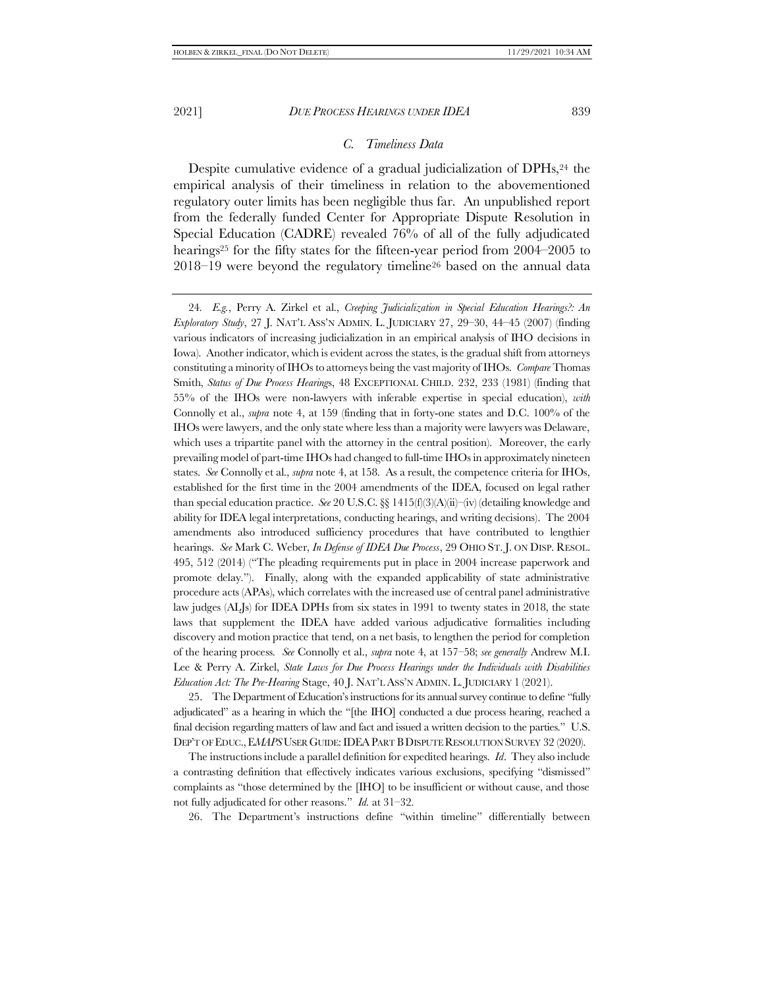### <span id="page-6-1"></span>*C. Timeliness Data*

Despite cumulative evidence of a gradual judicialization of DPHs,<sup>24</sup> the empirical analysis of their timeliness in relation to the abovementioned regulatory outer limits has been negligible thus far. An unpublished report from the federally funded Center for Appropriate Dispute Resolution in Special Education (CADRE) revealed 76% of all of the fully adjudicated hearings<sup>25</sup> for the fifty states for the fifteen-year period from 2004–2005 to 2018–19 were beyond the regulatory timeline<sup>26</sup> based on the annual data

<span id="page-6-0"></span>24*. E.g.*, Perry A. Zirkel et al., *Creeping Judicialization in Special Education Hearings?: An Exploratory Study*, 27 J. NAT'L ASS'N ADMIN. L. JUDICIARY 27, 29–30, 44–45 (2007) (finding various indicators of increasing judicialization in an empirical analysis of IHO decisions in Iowa). Another indicator, which is evident across the states, is the gradual shift from attorneys constituting a minority of IHOs to attorneys being the vast majority of IHOs. *Compare* Thomas Smith, *Status of Due Process Hearing*s, 48 EXCEPTIONAL CHILD. 232, 233 (1981) (finding that 55% of the IHOs were non-lawyers with inferable expertise in special education), *with* Connolly et al., *supra* note [4,](#page-1-0) at 159 (finding that in forty-one states and D.C. 100% of the IHOs were lawyers, and the only state where less than a majority were lawyers was Delaware, which uses a tripartite panel with the attorney in the central position). Moreover, the early prevailing model of part-time IHOs had changed to full-time IHOs in approximately nineteen states. *See* Connolly et al., *supra* not[e 4,](#page-1-0) at 158. As a result, the competence criteria for IHOs, established for the first time in the 2004 amendments of the IDEA, focused on legal rather than special education practice. *See* 20 U.S.C. §§ 1415(f)(3)(A)(ii)–(iv) (detailing knowledge and ability for IDEA legal interpretations, conducting hearings, and writing decisions). The 2004 amendments also introduced sufficiency procedures that have contributed to lengthier hearings. *See* Mark C. Weber, *In Defense of IDEA Due Process*, 29 OHIO ST. J. ON DISP. RESOL. 495, 512 (2014) ("The pleading requirements put in place in 2004 increase paperwork and promote delay."). Finally, along with the expanded applicability of state administrative procedure acts (APAs), which correlates with the increased use of central panel administrative law judges (ALJs) for IDEA DPHs from six states in 1991 to twenty states in 2018, the state laws that supplement the IDEA have added various adjudicative formalities including discovery and motion practice that tend, on a net basis, to lengthen the period for completion of the hearing process*. See* Connolly et al., *supra* note [4,](#page-1-0) at 157–58; *see generally* Andrew M.I. Lee & Perry A. Zirkel, *State Laws for Due Process Hearings under the Individuals with Disabilities Education Act: The Pre-Hearing* Stage, 40 J. NAT'L ASS'N ADMIN. L. JUDICIARY 1 (2021).

25. The Department of Education's instructions for its annual survey continue to define "fully adjudicated" as a hearing in which the "[the IHO] conducted a due process hearing, reached a final decision regarding matters of law and fact and issued a written decision to the parties." U.S. DEP'T OF EDUC.,E*MAPS*USER GUIDE:IDEAPART BDISPUTE RESOLUTION SURVEY 32 (2020).

The instructions include a parallel definition for expedited hearings. *Id*. They also include a contrasting definition that effectively indicates various exclusions, specifying "dismissed" complaints as "those determined by the [IHO] to be insufficient or without cause, and those not fully adjudicated for other reasons." *Id.* at 31–32.

26. The Department's instructions define "within timeline" differentially between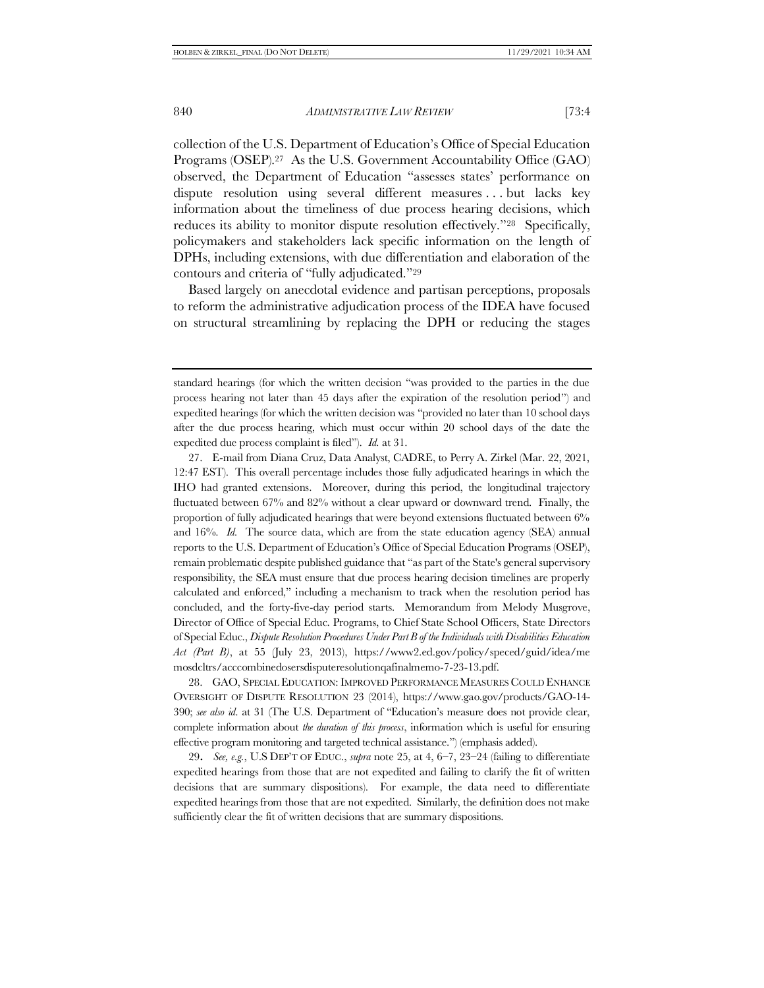<span id="page-7-1"></span>collection of the U.S. Department of Education's Office of Special Education Programs (OSEP).27 As the U.S. Government Accountability Office (GAO) observed, the Department of Education "assesses states' performance on dispute resolution using several different measures . . . but lacks key information about the timeliness of due process hearing decisions, which reduces its ability to monitor dispute resolution effectively."28 Specifically, policymakers and stakeholders lack specific information on the length of DPHs, including extensions, with due differentiation and elaboration of the contours and criteria of "fully adjudicated."<sup>29</sup>

<span id="page-7-2"></span><span id="page-7-0"></span>Based largely on anecdotal evidence and partisan perceptions, proposals to reform the administrative adjudication process of the IDEA have focused on structural streamlining by replacing the DPH or reducing the stages

27. E-mail from Diana Cruz, Data Analyst, CADRE, to Perry A. Zirkel (Mar. 22, 2021, 12:47 EST). This overall percentage includes those fully adjudicated hearings in which the IHO had granted extensions. Moreover, during this period, the longitudinal trajectory fluctuated between 67% and 82% without a clear upward or downward trend. Finally, the proportion of fully adjudicated hearings that were beyond extensions fluctuated between 6% and 16%. *Id.* The source data, which are from the state education agency (SEA) annual reports to the U.S. Department of Education's Office of Special Education Programs (OSEP), remain problematic despite published guidance that "as part of the State's general supervisory responsibility, the SEA must ensure that due process hearing decision timelines are properly calculated and enforced," including a mechanism to track when the resolution period has concluded, and the forty-five-day period starts. Memorandum from Melody Musgrove, Director of Office of Special Educ. Programs, to Chief State School Officers, State Directors of Special Educ., *Dispute Resolution Procedures Under Part B of the Individuals with Disabilities Education Act (Part B)*, at 55 (July 23, 2013), https://www2.ed.gov/policy/speced/guid/idea/me mosdcltrs/acccombinedosersdisputeresolutionqafinalmemo-7-23-13.pdf.

28. GAO, SPECIAL EDUCATION: IMPROVED PERFORMANCE MEASURES COULD ENHANCE OVERSIGHT OF DISPUTE RESOLUTION 23 (2014), https://www.gao.gov/products/GAO-14- 390; *see also id*. at 31 (The U.S. Department of "Education's measure does not provide clear, complete information about *the duration of this process*, information which is useful for ensuring effective program monitoring and targeted technical assistance.") (emphasis added).

29*. See, e.g.*, U.S DEP'T OF EDUC., *supra* note [25,](#page-6-0) at 4, 6–7, 23–24 (failing to differentiate expedited hearings from those that are not expedited and failing to clarify the fit of written decisions that are summary dispositions). For example, the data need to differentiate expedited hearings from those that are not expedited. Similarly, the definition does not make sufficiently clear the fit of written decisions that are summary dispositions.

standard hearings (for which the written decision "was provided to the parties in the due process hearing not later than 45 days after the expiration of the resolution period") and expedited hearings (for which the written decision was "provided no later than 10 school days after the due process hearing, which must occur within 20 school days of the date the expedited due process complaint is filed"). *Id.* at 31.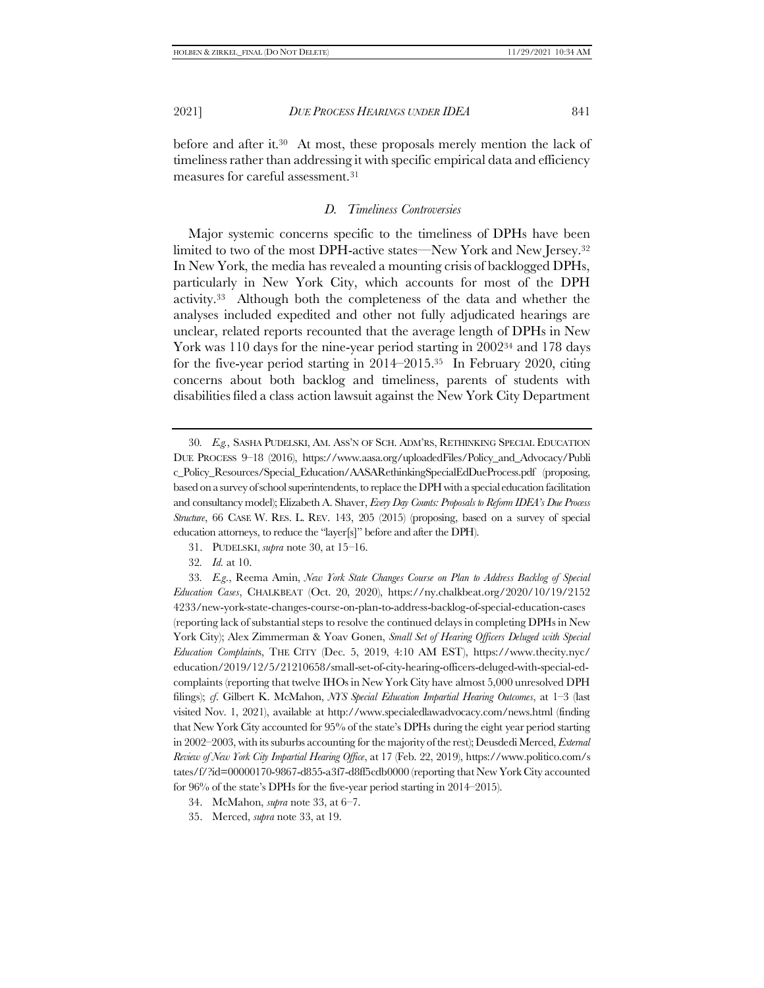before and after it.30 At most, these proposals merely mention the lack of timeliness rather than addressing it with specific empirical data and efficiency measures for careful assessment.<sup>31</sup>

### <span id="page-8-0"></span>*D. Timeliness Controversies*

<span id="page-8-1"></span>Major systemic concerns specific to the timeliness of DPHs have been limited to two of the most DPH-active states—New York and New Jersey.<sup>32</sup> In New York, the media has revealed a mounting crisis of backlogged DPHs, particularly in New York City, which accounts for most of the DPH activity.33 Although both the completeness of the data and whether the analyses included expedited and other not fully adjudicated hearings are unclear, related reports recounted that the average length of DPHs in New York was 110 days for the nine-year period starting in 2002<sup>34</sup> and 178 days for the five-year period starting in 2014–2015.35 In February 2020, citing concerns about both backlog and timeliness, parents of students with disabilities filed a class action lawsuit against the New York City Department

- 34. McMahon, *supra* not[e 33,](#page-8-1) at 6–7.
- 35. Merced, *supra* note [33,](#page-8-1) at 19.

<sup>30</sup>*. E.g.*, SASHA PUDELSKI, AM. ASS'N OF SCH. ADM'RS, RETHINKING SPECIAL EDUCATION DUE PROCESS 9–18 (2016), https://www.aasa.org/uploadedFiles/Policy\_and\_Advocacy/Publi c\_Policy\_Resources/Special\_Education/AASARethinkingSpecialEdDueProcess.pdf (proposing, based on a survey of school superintendents, to replace the DPH with a special education facilitation and consultancy model); Elizabeth A. Shaver, *Every Day Counts: Proposals to Reform IDEA's Due Process Structure*, 66 CASE W. RES. L. REV. 143, 205 (2015) (proposing, based on a survey of special education attorneys, to reduce the "layer[s]" before and after the DPH).

<sup>31.</sup> PUDELSKI, *supra* not[e 30,](#page-8-0) at 15–16.

<sup>32</sup>*. Id.* at 10.

<sup>33</sup>*. E.g*., Reema Amin, *New York State Changes Course on Plan to Address Backlog of Special Education Cases*, CHALKBEAT (Oct. 20, 2020), https://ny.chalkbeat.org/2020/10/19/2152 4233/new-york-state-changes-course-on-plan-to-address-backlog-of-special-education-cases (reporting lack of substantial steps to resolve the continued delays in completing DPHs in New York City); Alex Zimmerman & Yoav Gonen, *Small Set of Hearing Officers Deluged with Special Education Complaint*s, THE CITY (Dec. 5, 2019, 4:10 AM EST), https://www.thecity.nyc/ education/2019/12/5/21210658/small-set-of-city-hearing-officers-deluged-with-special-edcomplaints (reporting that twelve IHOs in New York City have almost 5,000 unresolved DPH filings); *cf*. Gilbert K. McMahon, *NYS Special Education Impartial Hearing Outcomes*, at 1–3 (last visited Nov. 1, 2021), available at http://www.specialedlawadvocacy.com/news.html (finding that New York City accounted for 95% of the state's DPHs during the eight year period starting in 2002–2003, with its suburbs accounting for the majority of the rest); Deusdedi Merced, *External Review of New York City Impartial Hearing Office*, at 17 (Feb. 22, 2019), https://www.politico.com/s tates/f/?id=00000170-9867-d855-a3f7-d8ff5cdb0000 (reporting that New York City accounted for 96% of the state's DPHs for the five-year period starting in 2014–2015).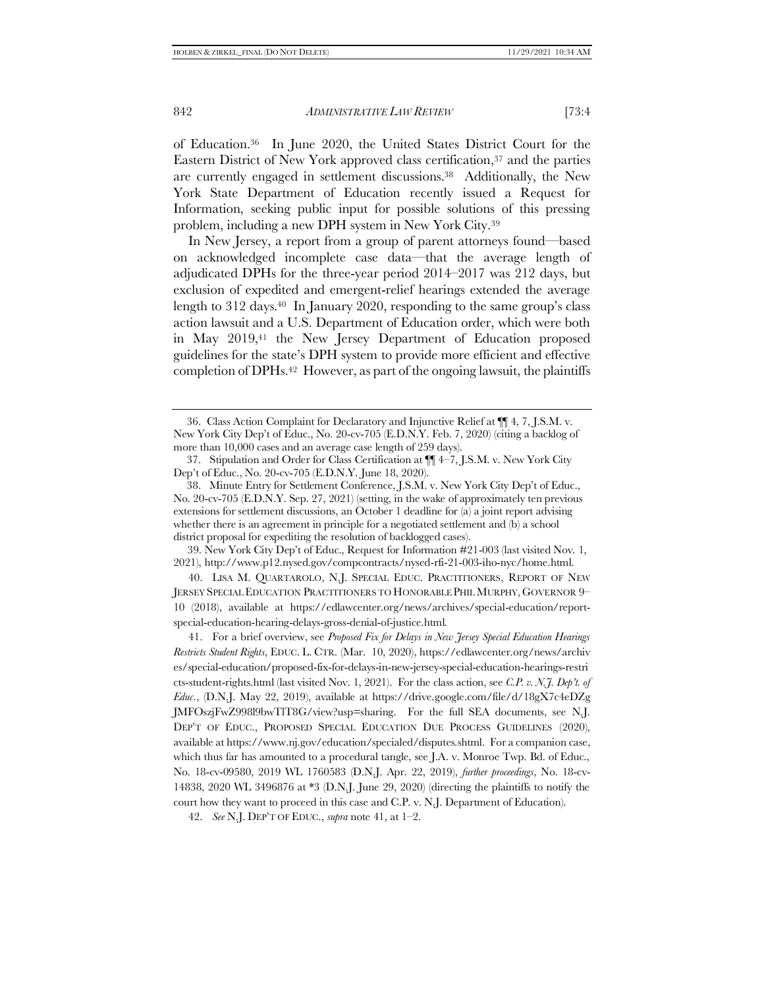of Education. <sup>36</sup> In June 2020, the United States District Court for the Eastern District of New York approved class certification, <sup>37</sup> and the parties are currently engaged in settlement discussions.38 Additionally, the New York State Department of Education recently issued a Request for Information, seeking public input for possible solutions of this pressing problem, including a new DPH system in New York City.<sup>39</sup>

<span id="page-9-1"></span>In New Jersey, a report from a group of parent attorneys found—based on acknowledged incomplete case data—that the average length of adjudicated DPHs for the three-year period 2014–2017 was 212 days, but exclusion of expedited and emergent-relief hearings extended the average length to 312 days.<sup>40</sup> In January 2020, responding to the same group's class action lawsuit and a U.S. Department of Education order, which were both in May 2019,<sup>41</sup> the New Jersey Department of Education proposed guidelines for the state's DPH system to provide more efficient and effective completion of DPHs.42 However, as part of the ongoing lawsuit, the plaintiffs

39. New York City Dep't of Educ., Request for Information #21-003 (last visited Nov. 1, 2021), http://www.p12.nysed.gov/compcontracts/nysed-rfi-21-003-iho-nyc/home.html.

40. LISA M. QUARTAROLO, N.J. SPECIAL EDUC. PRACTITIONERS, REPORT OF NEW JERSEY SPECIAL EDUCATION PRACTITIONERS TO HONORABLE PHIL MURPHY,GOVERNOR 9– 10 (2018), available at https://edlawcenter.org/news/archives/special-education/reportspecial-education-hearing-delays-gross-denial-of-justice.html*.* 

41. For a brief overview, see *Proposed Fix for Delays in New Jersey Special Education Hearings Restricts Student Rights*, EDUC. L. CTR. (Mar. 10, 2020), https://edlawcenter.org/news/archiv es/special-education/proposed-fix-for-delays-in-new-jersey-special-education-hearings-restri cts-student-rights.html (last visited Nov. 1, 2021). For the class action, see *C.P. v. N.J. Dep't. of Educ*., (D.N.J. May 22, 2019), available at https://drive.google.com/file/d/18gX7c4eDZg JMFOszjFwZ998l9bwTlT8G/view?usp=sharing. For the full SEA documents, see N.J. DEP'T OF EDUC., PROPOSED SPECIAL EDUCATION DUE PROCESS GUIDELINES (2020), available at https://www.nj.gov/education/specialed/disputes.shtml. For a companion case, which thus far has amounted to a procedural tangle, see J.A. v. Monroe Twp. Bd. of Educ., No. 18-cv-09580, 2019 WL 1760583 (D.N.J. Apr. 22, 2019), *further proceedings*, No. 18-cv-14838, 2020 WL 3496876 at \*3 (D.N.J. June 29, 2020) (directing the plaintiffs to notify the court how they want to proceed in this case and C.P. v. N.J. Department of Education).

<span id="page-9-2"></span><span id="page-9-0"></span><sup>36.</sup> Class Action Complaint for Declaratory and Injunctive Relief at ¶¶ 4, 7, J.S.M. v. New York City Dep't of Educ., No. 20-cv-705 (E.D.N.Y. Feb. 7, 2020) (citing a backlog of more than 10,000 cases and an average case length of 259 days).

<sup>37.</sup> Stipulation and Order for Class Certification at ¶¶ 4–7, J.S.M. v. New York City Dep't of Educ., No. 20-cv-705 (E.D.N.Y. June 18, 2020).

<sup>38</sup>. Minute Entry for Settlement Conference, J.S.M. v. New York City Dep't of Educ., No. 20-cv-705 (E.D.N.Y. Sep. 27, 2021) (setting, in the wake of approximately ten previous extensions for settlement discussions, an October 1 deadline for (a) a joint report advising whether there is an agreement in principle for a negotiated settlement and (b) a school district proposal for expediting the resolution of backlogged cases).

<sup>42.</sup> *See* N.J. DEP'T OF EDUC., *supra* note [41,](#page-9-0) at 1–2.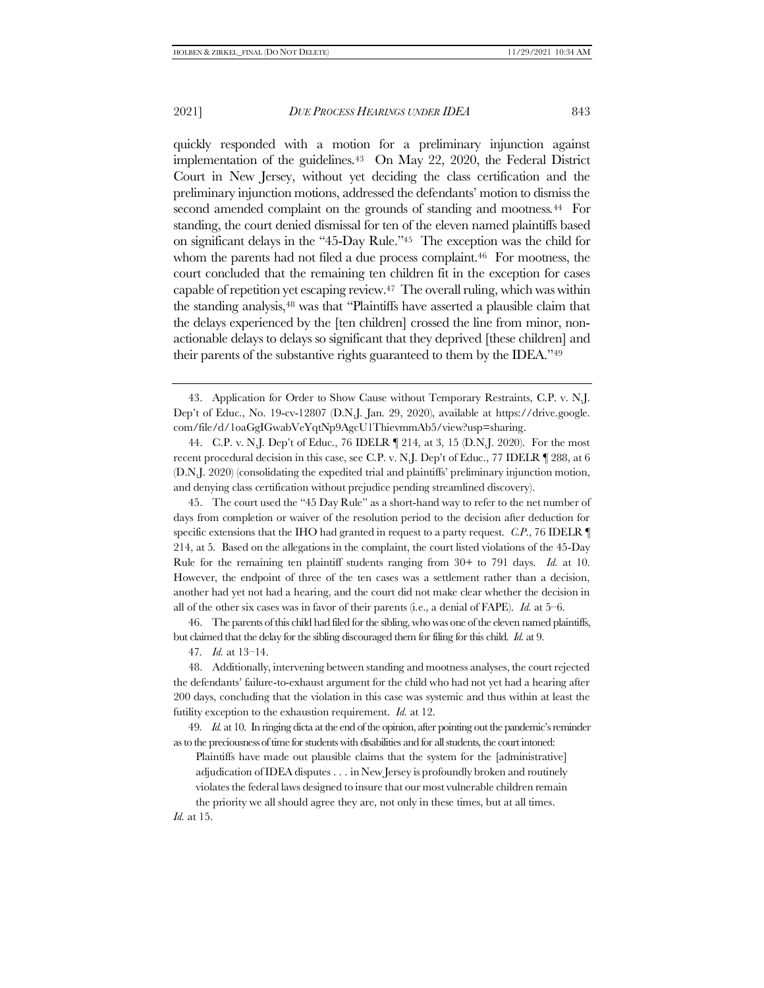<span id="page-10-2"></span><span id="page-10-1"></span>quickly responded with a motion for a preliminary injunction against implementation of the guidelines.43 On May 22, 2020, the Federal District Court in New Jersey, without yet deciding the class certification and the preliminary injunction motions, addressed the defendants' motion to dismiss the second amended complaint on the grounds of standing and mootness*.* <sup>44</sup> For standing, the court denied dismissal for ten of the eleven named plaintiffs based on significant delays in the "45-Day Rule."45 The exception was the child for whom the parents had not filed a due process complaint.<sup>46</sup> For mootness, the court concluded that the remaining ten children fit in the exception for cases capable of repetition yet escaping review.47 The overall ruling, which was within the standing analysis,<sup>48</sup> was that "Plaintiffs have asserted a plausible claim that the delays experienced by the [ten children] crossed the line from minor, nonactionable delays to delays so significant that they deprived [these children] and their parents of the substantive rights guaranteed to them by the IDEA."<sup>49</sup>

44. C.P. v. N.J. Dep't of Educ., 76 IDELR ¶ 214, at 3, 15 (D.N.J. 2020). For the most recent procedural decision in this case, see C.P. v. N.J. Dep't of Educ., 77 IDELR ¶ 288, at 6 (D.N.J. 2020) (consolidating the expedited trial and plaintiffs' preliminary injunction motion, and denying class certification without prejudice pending streamlined discovery).

45. The court used the "45 Day Rule" as a short-hand way to refer to the net number of days from completion or waiver of the resolution period to the decision after deduction for specific extensions that the IHO had granted in request to a party request. *C.P*., 76 IDELR ¶ 214, at 5. Based on the allegations in the complaint, the court listed violations of the 45-Day Rule for the remaining ten plaintiff students ranging from 30+ to 791 days. *Id.* at 10. However, the endpoint of three of the ten cases was a settlement rather than a decision, another had yet not had a hearing, and the court did not make clear whether the decision in all of the other six cases was in favor of their parents (i.e., a denial of FAPE). *Id.* at 5–6.

46. The parents of this child had filed for the sibling, who was one of the eleven named plaintiffs, but claimed that the delay for the sibling discouraged them for filing for this child. *Id.* at 9.

47*. Id.* at 13–14.

48. Additionally, intervening between standing and mootness analyses, the court rejected the defendants' failure-to-exhaust argument for the child who had not yet had a hearing after 200 days, concluding that the violation in this case was systemic and thus within at least the futility exception to the exhaustion requirement. *Id.* at 12.

49*. Id.* at 10. In ringing dicta at the end of the opinion, after pointing out the pandemic's reminder as to the preciousness of time for students with disabilities and for all students, the court intoned:

Plaintiffs have made out plausible claims that the system for the [administrative] adjudication of IDEA disputes . . . in New Jersey is profoundly broken and routinely violates the federal laws designed to insure that our most vulnerable children remain

the priority we all should agree they are, not only in these times, but at all times. *Id.* at 15.

<span id="page-10-3"></span><span id="page-10-0"></span><sup>43.</sup> Application for Order to Show Cause without Temporary Restraints, C.P. v. N.J. Dep't of Educ., No. 19-cv-12807 (D.N.J. Jan. 29, 2020), available at https://drive.google. com/file/d/1oaGgIGwabVeYqtNp9AgcU1ThievmmAb5/view?usp=sharing.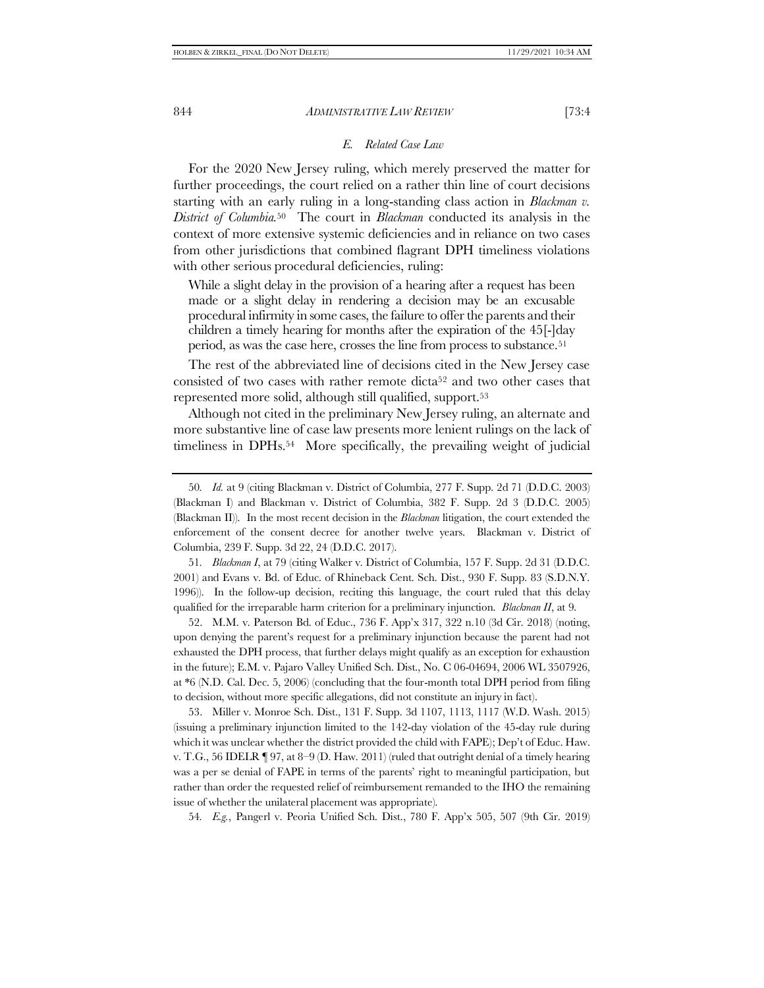# <span id="page-11-2"></span><span id="page-11-0"></span>*E. Related Case Law*

For the 2020 New Jersey ruling, which merely preserved the matter for further proceedings, the court relied on a rather thin line of court decisions starting with an early ruling in a long-standing class action in *Blackman v. District of Columbia.*50 The court in *Blackman* conducted its analysis in the context of more extensive systemic deficiencies and in reliance on two cases from other jurisdictions that combined flagrant DPH timeliness violations with other serious procedural deficiencies, ruling:

While a slight delay in the provision of a hearing after a request has been made or a slight delay in rendering a decision may be an excusable procedural infirmity in some cases, the failure to offer the parents and their children a timely hearing for months after the expiration of the 45[-]day period, as was the case here, crosses the line from process to substance.<sup>51</sup>

The rest of the abbreviated line of decisions cited in the New Jersey case consisted of two cases with rather remote dicta<sup>52</sup> and two other cases that represented more solid, although still qualified, support.<sup>53</sup>

<span id="page-11-1"></span>Although not cited in the preliminary New Jersey ruling, an alternate and more substantive line of case law presents more lenient rulings on the lack of timeliness in DPHs.<sup>54</sup> More specifically, the prevailing weight of judicial

51*. Blackman I*, at 79 (citing Walker v. District of Columbia, 157 F. Supp. 2d 31 (D.D.C. 2001) and Evans v. Bd. of Educ. of Rhineback Cent. Sch. Dist., 930 F. Supp. 83 (S.D.N.Y. 1996)). In the follow-up decision, reciting this language, the court ruled that this delay qualified for the irreparable harm criterion for a preliminary injunction. *Blackman II*, at 9.

52. M.M. v. Paterson Bd. of Educ., 736 F. App'x 317, 322 n.10 (3d Cir. 2018) (noting, upon denying the parent's request for a preliminary injunction because the parent had not exhausted the DPH process, that further delays might qualify as an exception for exhaustion in the future); E.M. v. Pajaro Valley Unified Sch. Dist., No. C 06-04694, 2006 WL 3507926, at \*6 (N.D. Cal. Dec. 5, 2006) (concluding that the four-month total DPH period from filing to decision, without more specific allegations, did not constitute an injury in fact).

53. Miller v. Monroe Sch. Dist., 131 F. Supp. 3d 1107, 1113, 1117 (W.D. Wash. 2015) (issuing a preliminary injunction limited to the 142-day violation of the 45-day rule during which it was unclear whether the district provided the child with FAPE); Dep't of Educ. Haw. v. T.G., 56 IDELR  $\P$  97, at 8–9 (D. Haw. 2011) (ruled that outright denial of a timely hearing was a per se denial of FAPE in terms of the parents' right to meaningful participation, but rather than order the requested relief of reimbursement remanded to the IHO the remaining issue of whether the unilateral placement was appropriate).

54*. E.g.*, Pangerl v. Peoria Unified Sch. Dist., 780 F. App'x 505, 507 (9th Cir. 2019)

<sup>50</sup>*. Id.* at 9 (citing Blackman v. District of Columbia, 277 F. Supp. 2d 71 (D.D.C. 2003) (Blackman I) and Blackman v. District of Columbia, 382 F. Supp. 2d 3 (D.D.C. 2005) (Blackman II)). In the most recent decision in the *Blackman* litigation, the court extended the enforcement of the consent decree for another twelve years. Blackman v. District of Columbia, 239 F. Supp. 3d 22, 24 (D.D.C. 2017).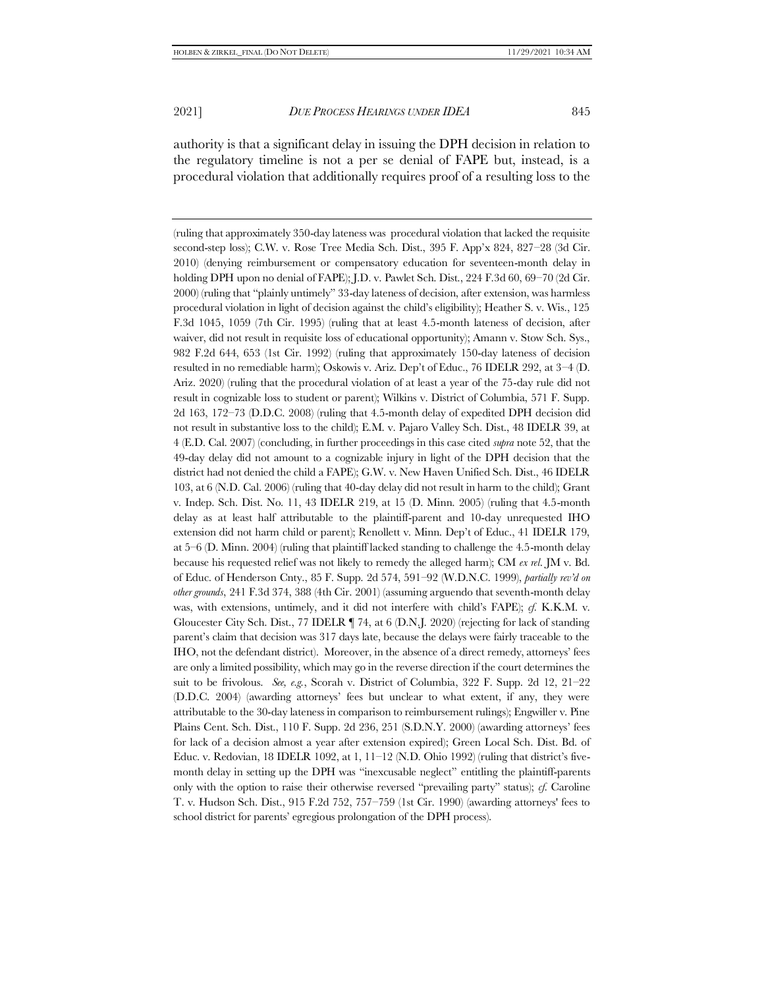(ruling that approximately 350-day lateness was procedural violation that lacked the requisite second-step loss); C.W. v. Rose Tree Media Sch. Dist., 395 F. App'x 824, 827–28 (3d Cir. 2010) (denying reimbursement or compensatory education for seventeen-month delay in holding DPH upon no denial of FAPE); J.D. v. Pawlet Sch. Dist., 224 F.3d 60, 69–70 (2d Cir. 2000) (ruling that "plainly untimely" 33-day lateness of decision, after extension, was harmless procedural violation in light of decision against the child's eligibility); Heather S. v. Wis., 125 F.3d 1045, 1059 (7th Cir. 1995) (ruling that at least 4.5-month lateness of decision, after waiver, did not result in requisite loss of educational opportunity); Amann v. Stow Sch. Sys., 982 F.2d 644, 653 (1st Cir. 1992) (ruling that approximately 150-day lateness of decision resulted in no remediable harm); Oskowis v. Ariz. Dep't of Educ., 76 IDELR 292, at 3–4 (D. Ariz. 2020) (ruling that the procedural violation of at least a year of the 75-day rule did not result in cognizable loss to student or parent); Wilkins v. District of Columbia, 571 F. Supp. 2d 163, 172–73 (D.D.C. 2008) (ruling that 4.5-month delay of expedited DPH decision did not result in substantive loss to the child); E.M. v. Pajaro Valley Sch. Dist., 48 IDELR 39, at 4 (E.D. Cal. 2007) (concluding, in further proceedings in this case cited *supra* not[e 52,](#page-11-0) that the 49-day delay did not amount to a cognizable injury in light of the DPH decision that the district had not denied the child a FAPE); G.W. v. New Haven Unified Sch. Dist., 46 IDELR 103, at 6 (N.D. Cal. 2006) (ruling that 40-day delay did not result in harm to the child); Grant v. Indep. Sch. Dist. No. 11, 43 IDELR 219, at 15 (D. Minn. 2005) (ruling that 4.5-month delay as at least half attributable to the plaintiff-parent and 10-day unrequested IHO extension did not harm child or parent); Renollett v. Minn. Dep't of Educ., 41 IDELR 179, at 5–6 (D. Minn. 2004) (ruling that plaintiff lacked standing to challenge the 4.5-month delay because his requested relief was not likely to remedy the alleged harm); CM *ex rel*. JM v. Bd. of Educ. of Henderson Cnty., 85 F. Supp. 2d 574, 591–92 (W.D.N.C. 1999), *partially rev'd on other grounds*, 241 F.3d 374, 388 (4th Cir. 2001) (assuming arguendo that seventh-month delay was, with extensions, untimely, and it did not interfere with child's FAPE); *cf.* K.K.M. v. Gloucester City Sch. Dist., 77 IDELR ¶ 74, at 6 (D.N.J. 2020) (rejecting for lack of standing parent's claim that decision was 317 days late, because the delays were fairly traceable to the IHO, not the defendant district). Moreover, in the absence of a direct remedy, attorneys' fees are only a limited possibility, which may go in the reverse direction if the court determines the suit to be frivolous. *See, e.g.*, Scorah v. District of Columbia, 322 F. Supp. 2d 12, 21–22 (D.D.C. 2004) (awarding attorneys' fees but unclear to what extent, if any, they were attributable to the 30-day lateness in comparison to reimbursement rulings); Engwiller v. Pine Plains Cent. Sch. Dist., 110 F. Supp. 2d 236, 251 (S.D.N.Y. 2000) (awarding attorneys' fees for lack of a decision almost a year after extension expired); Green Local Sch. Dist. Bd. of Educ. v. Redovian, 18 IDELR 1092, at 1,  $11-12$  (N.D. Ohio 1992) (ruling that district's fivemonth delay in setting up the DPH was "inexcusable neglect" entitling the plaintiff-parents only with the option to raise their otherwise reversed "prevailing party" status); *cf.* Caroline T. v. Hudson Sch. Dist., 915 F.2d 752, 757–759 (1st Cir. 1990) (awarding attorneys' fees to school district for parents' egregious prolongation of the DPH process).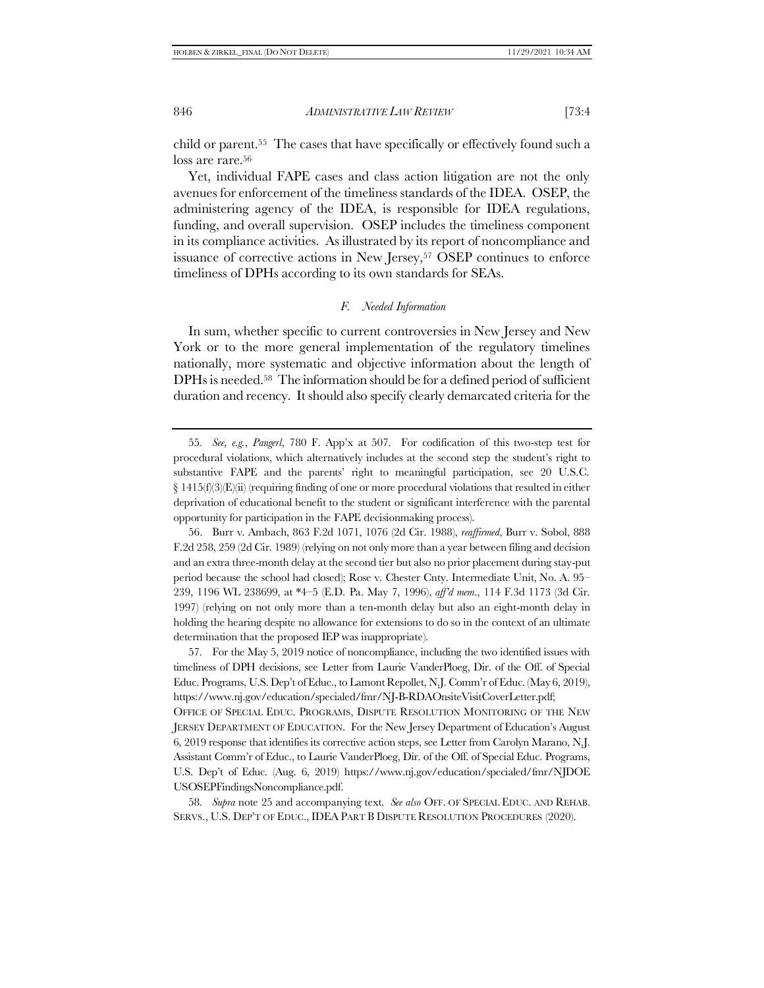child or parent.<sup>55</sup>The cases that have specifically or effectively found such a loss are rare.<sup>56</sup>

Yet, individual FAPE cases and class action litigation are not the only avenues for enforcement of the timeliness standards of the IDEA. OSEP, the administering agency of the IDEA, is responsible for IDEA regulations, funding, and overall supervision. OSEP includes the timeliness component in its compliance activities. As illustrated by its report of noncompliance and issuance of corrective actions in New Jersey,<sup>57</sup> OSEP continues to enforce timeliness of DPHs according to its own standards for SEAs.

### *F. Needed Information*

In sum, whether specific to current controversies in New Jersey and New York or to the more general implementation of the regulatory timelines nationally, more systematic and objective information about the length of DPHs is needed.58 The information should be for a defined period of sufficient duration and recency. It should also specify clearly demarcated criteria for the

57*.* For the May 5, 2019 notice of noncompliance, including the two identified issues with timeliness of DPH decisions, see Letter from Laurie VanderPloeg, Dir. of the Off. of Special Educ. Programs, U.S. Dep't of Educ., to Lamont Repollet, N.J. Comm'r of Educ. (May 6, 2019), https://www.nj.gov/education/specialed/fmr/NJ-B-RDAOnsiteVisitCoverLetter.pdf; OFFICE OF SPECIAL EDUC. PROGRAMS, DISPUTE RESOLUTION MONITORING OF THE NEW JERSEY DEPARTMENT OF EDUCATION. For the New Jersey Department of Education's August 6, 2019 response that identifies its corrective action steps, see Letter from Carolyn Marano, N.J. Assistant Comm'r of Educ., to Laurie VanderPloeg, Dir. of the Off. of Special Educ. Programs, U.S. Dep't of Educ. (Aug. 6, 2019) https://www.nj.gov/education/specialed/fmr/NJDOE USOSEPFindingsNoncompliance.pdf.

58*. Supra* note [25](#page-6-0) and accompanying text. *See also* OFF. OF SPECIAL EDUC. AND REHAB. SERVS., U.S. DEP'T OF EDUC., IDEA PART B DISPUTE RESOLUTION PROCEDURES (2020).

<sup>55</sup>*. See, e.g.*, *Pangerl*, 780 F. App'x at 507. For codification of this two-step test for procedural violations, which alternatively includes at the second step the student's right to substantive FAPE and the parents' right to meaningful participation, see 20 U.S.C.  $\S 1415(f)(3)(E)(ii)$  (requiring finding of one or more procedural violations that resulted in either deprivation of educational benefit to the student or significant interference with the parental opportunity for participation in the FAPE decisionmaking process).

<sup>56.</sup> Burr v. Ambach, 863 F.2d 1071, 1076 (2d Cir. 1988), *reaffirmed*, Burr v. Sobol, 888 F.2d 258, 259 (2d Cir. 1989) (relying on not only more than a year between filing and decision and an extra three-month delay at the second tier but also no prior placement during stay-put period because the school had closed); Rose v. Chester Cnty. Intermediate Unit, No. A. 95– 239, 1196 WL 238699, at \*4–5 (E.D. Pa. May 7, 1996), *aff'd mem*., 114 F.3d 1173 (3d Cir. 1997) (relying on not only more than a ten-month delay but also an eight-month delay in holding the hearing despite no allowance for extensions to do so in the context of an ultimate determination that the proposed IEP was inappropriate).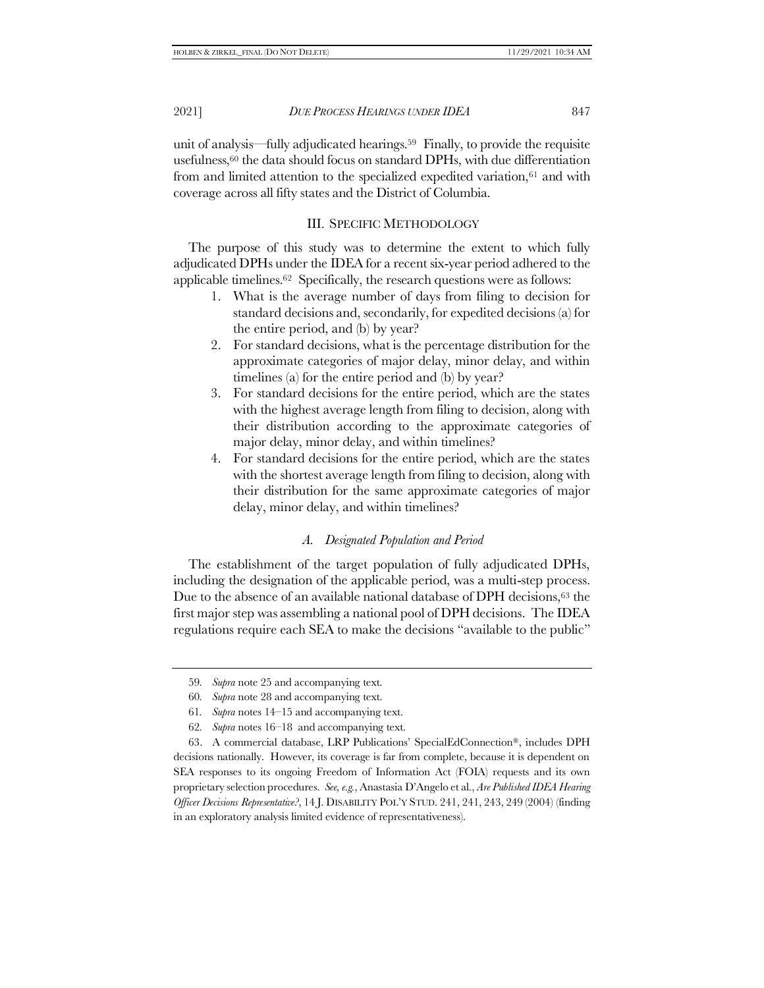unit of analysis—fully adjudicated hearings.59 Finally, to provide the requisite usefulness,<sup>60</sup> the data should focus on standard DPHs, with due differentiation from and limited attention to the specialized expedited variation, $61$  and with coverage across all fifty states and the District of Columbia.

# III. SPECIFIC METHODOLOGY

The purpose of this study was to determine the extent to which fully adjudicated DPHs under the IDEA for a recent six-year period adhered to the applicable timelines.62 Specifically, the research questions were as follows:

- 1. What is the average number of days from filing to decision for standard decisions and, secondarily, for expedited decisions (a) for the entire period, and (b) by year?
- 2. For standard decisions, what is the percentage distribution for the approximate categories of major delay, minor delay, and within timelines (a) for the entire period and (b) by year?
- 3. For standard decisions for the entire period, which are the states with the highest average length from filing to decision, along with their distribution according to the approximate categories of major delay, minor delay, and within timelines?
- 4. For standard decisions for the entire period, which are the states with the shortest average length from filing to decision, along with their distribution for the same approximate categories of major delay, minor delay, and within timelines?

# *A. Designated Population and Period*

The establishment of the target population of fully adjudicated DPHs, including the designation of the applicable period, was a multi-step process. Due to the absence of an available national database of DPH decisions,<sup>63</sup> the first major step was assembling a national pool of DPH decisions. The IDEA regulations require each SEA to make the decisions "available to the public"

62*. Supra* note[s 16](#page-4-1)–[18](#page-4-2) and accompanying text.

63. A commercial database, LRP Publications' SpecialEdConnection®, includes DPH decisions nationally. However, its coverage is far from complete, because it is dependent on SEA responses to its ongoing Freedom of Information Act (FOIA) requests and its own proprietary selection procedures. *See, e.g.*, Anastasia D'Angelo et al., *Are Published IDEA Hearing Officer Decisions Representative?*, 14 J. DISABILITY POL'Y STUD. 241, 241, 243, 249 (2004) (finding in an exploratory analysis limited evidence of representativeness).

<sup>59</sup>*. Supra* not[e 25](#page-6-0) and accompanying text.

<sup>60</sup>*. Supra* not[e 28](#page-7-0) and accompanying text.

<sup>61</sup>*. Supra* note[s 14](#page-3-2)–[15](#page-3-1) and accompanying text.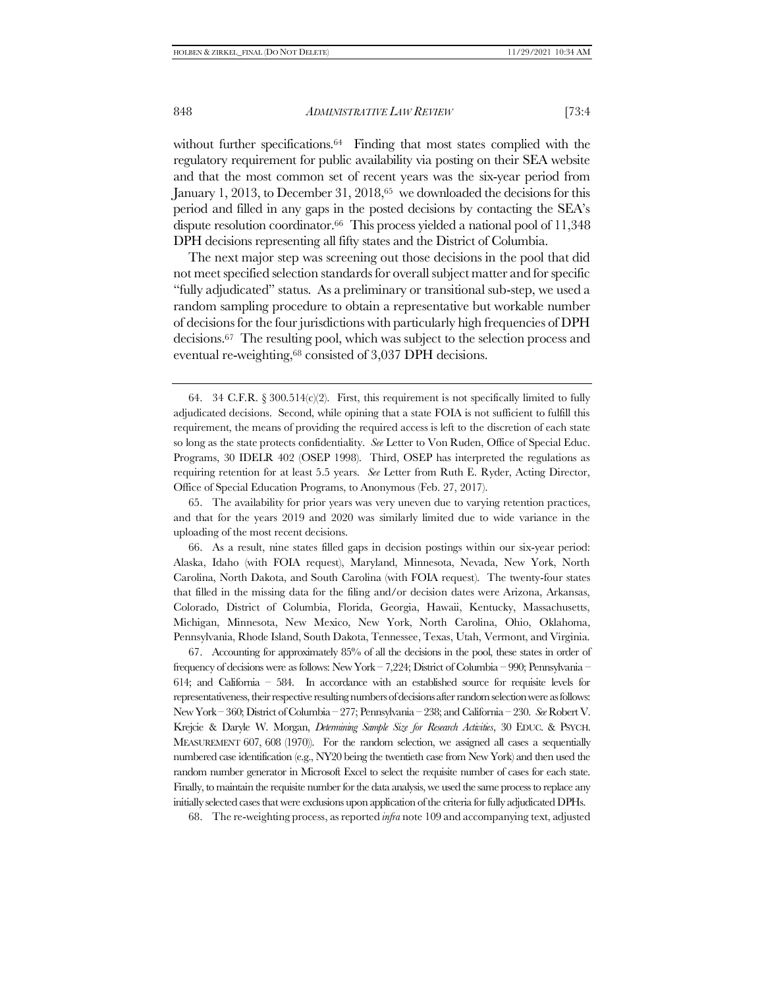without further specifications.<sup>64</sup> Finding that most states complied with the regulatory requirement for public availability via posting on their SEA website and that the most common set of recent years was the six-year period from January 1, 2013, to December 31, 2018,<sup>65</sup> we downloaded the decisions for this period and filled in any gaps in the posted decisions by contacting the SEA's dispute resolution coordinator.66 This process yielded a national pool of 11,348 DPH decisions representing all fifty states and the District of Columbia.

The next major step was screening out those decisions in the pool that did not meet specified selection standards for overall subject matter and for specific "fully adjudicated" status. As a preliminary or transitional sub-step, we used a random sampling procedure to obtain a representative but workable number of decisions for the four jurisdictions with particularly high frequencies of DPH decisions.67 The resulting pool, which was subject to the selection process and eventual re-weighting,<sup>68</sup> consisted of 3,037 DPH decisions.

65. The availability for prior years was very uneven due to varying retention practices, and that for the years 2019 and 2020 was similarly limited due to wide variance in the uploading of the most recent decisions.

66. As a result, nine states filled gaps in decision postings within our six-year period: Alaska, Idaho (with FOIA request), Maryland, Minnesota, Nevada, New York, North Carolina, North Dakota, and South Carolina (with FOIA request). The twenty-four states that filled in the missing data for the filing and/or decision dates were Arizona, Arkansas, Colorado, District of Columbia, Florida, Georgia, Hawaii, Kentucky, Massachusetts, Michigan, Minnesota, New Mexico, New York, North Carolina, Ohio, Oklahoma, Pennsylvania, Rhode Island, South Dakota, Tennessee, Texas, Utah, Vermont, and Virginia.

67. Accounting for approximately 85% of all the decisions in the pool, these states in order of frequency of decisions were as follows: New York – 7,224; District of Columbia – 990; Pennsylvania – 614; and California – 584. In accordance with an established source for requisite levels for representativeness, their respective resulting numbers of decisions after random selection were as follows: New York – 360; District of Columbia – 277; Pennsylvania – 238; and California – 230. *See* Robert V. Krejcie & Daryle W. Morgan, *Determining Sample Size for Research Activities*, 30 EDUC. & PSYCH. MEASUREMENT 607, 608 (1970)). For the random selection, we assigned all cases a sequentially numbered case identification (e.g., NY20 being the twentieth case from New York) and then used the random number generator in Microsoft Excel to select the requisite number of cases for each state. Finally, to maintain the requisite number for the data analysis, we used the same process to replace any initially selected cases that were exclusions upon application of the criteria for fully adjudicated DPHs.

68. The re-weighting process, as reported *infra* not[e 109](#page-20-0) and accompanying text, adjusted

<span id="page-15-1"></span><span id="page-15-0"></span><sup>64.</sup> 34 C.F.R. § 300.514(c)(2). First, this requirement is not specifically limited to fully adjudicated decisions. Second, while opining that a state FOIA is not sufficient to fulfill this requirement, the means of providing the required access is left to the discretion of each state so long as the state protects confidentiality. *See* Letter to Von Ruden, Office of Special Educ. Programs, 30 IDELR 402 (OSEP 1998). Third, OSEP has interpreted the regulations as requiring retention for at least 5.5 years. *See* Letter from Ruth E. Ryder, Acting Director, Office of Special Education Programs, to Anonymous (Feb. 27, 2017).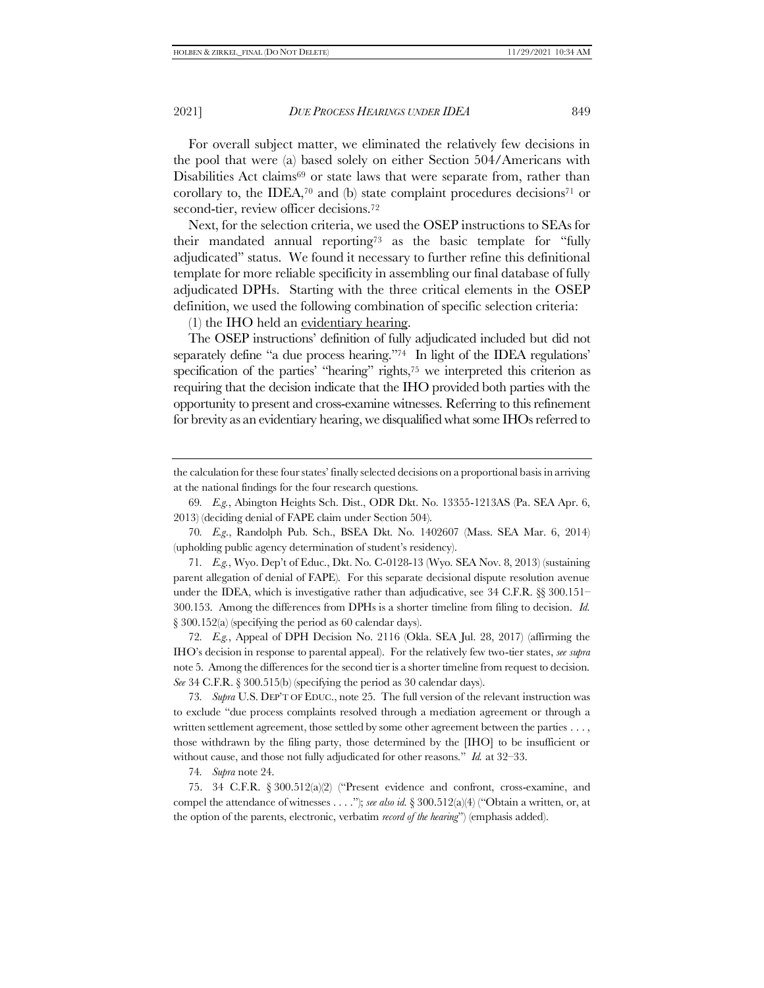For overall subject matter, we eliminated the relatively few decisions in the pool that were (a) based solely on either Section 504/Americans with Disabilities Act claims<sup>69</sup> or state laws that were separate from, rather than corollary to, the IDEA, $70$  and (b) state complaint procedures decisions $71$  or second-tier, review officer decisions.<sup>72</sup>

<span id="page-16-0"></span>Next, for the selection criteria, we used the OSEP instructions to SEAs for their mandated annual reporting<sup>73</sup> as the basic template for "fully adjudicated" status. We found it necessary to further refine this definitional template for more reliable specificity in assembling our final database of fully adjudicated DPHs. Starting with the three critical elements in the OSEP definition, we used the following combination of specific selection criteria:

(1) the IHO held an evidentiary hearing.

The OSEP instructions' definition of fully adjudicated included but did not separately define "a due process hearing."<sup>74</sup> In light of the IDEA regulations' specification of the parties' "hearing" rights,<sup>75</sup> we interpreted this criterion as requiring that the decision indicate that the IHO provided both parties with the opportunity to present and cross-examine witnesses. Referring to this refinement for brevity as an evidentiary hearing, we disqualified what some IHOs referred to

71*. E.g.*, Wyo. Dep't of Educ., Dkt. No. C-0128-13 (Wyo. SEA Nov. 8, 2013) (sustaining parent allegation of denial of FAPE). For this separate decisional dispute resolution avenue under the IDEA, which is investigative rather than adjudicative, see 34 C.F.R.  $\S$  300.151– 300.153. Among the differences from DPHs is a shorter timeline from filing to decision. *Id.* § 300.152(a) (specifying the period as 60 calendar days).

72*. E.g.*, Appeal of DPH Decision No. 2116 (Okla. SEA Jul. 28, 2017) (affirming the IHO's decision in response to parental appeal). For the relatively few two-tier states, *see supra* not[e 5.](#page-1-1) Among the differences for the second tier is a shorter timeline from request to decision. *See* 34 C.F.R. § 300.515(b) (specifying the period as 30 calendar days).

73*. Supra* U.S. DEP'T OF EDUC., note [25.](#page-6-0) The full version of the relevant instruction was to exclude "due process complaints resolved through a mediation agreement or through a written settlement agreement, those settled by some other agreement between the parties . . . , those withdrawn by the filing party, those determined by the [IHO] to be insufficient or without cause, and those not fully adjudicated for other reasons." *Id.* at 32–33.

74*. Supra* not[e 24.](#page-6-1)

75. 34 C.F.R. § 300.512(a)(2) ("Present evidence and confront, cross-examine, and compel the attendance of witnesses . . . ."); *see also id.* § 300.512(a)(4) ("Obtain a written, or, at the option of the parents, electronic, verbatim *record of the hearing*") (emphasis added).

the calculation for these four states' finally selected decisions on a proportional basis in arriving at the national findings for the four research questions.

<sup>69</sup>*. E.g.*, Abington Heights Sch. Dist., ODR Dkt. No. 13355-1213AS (Pa. SEA Apr. 6, 2013) (deciding denial of FAPE claim under Section 504).

<sup>70</sup>*. E.g*., Randolph Pub. Sch., BSEA Dkt. No. 1402607 (Mass. SEA Mar. 6, 2014) (upholding public agency determination of student's residency).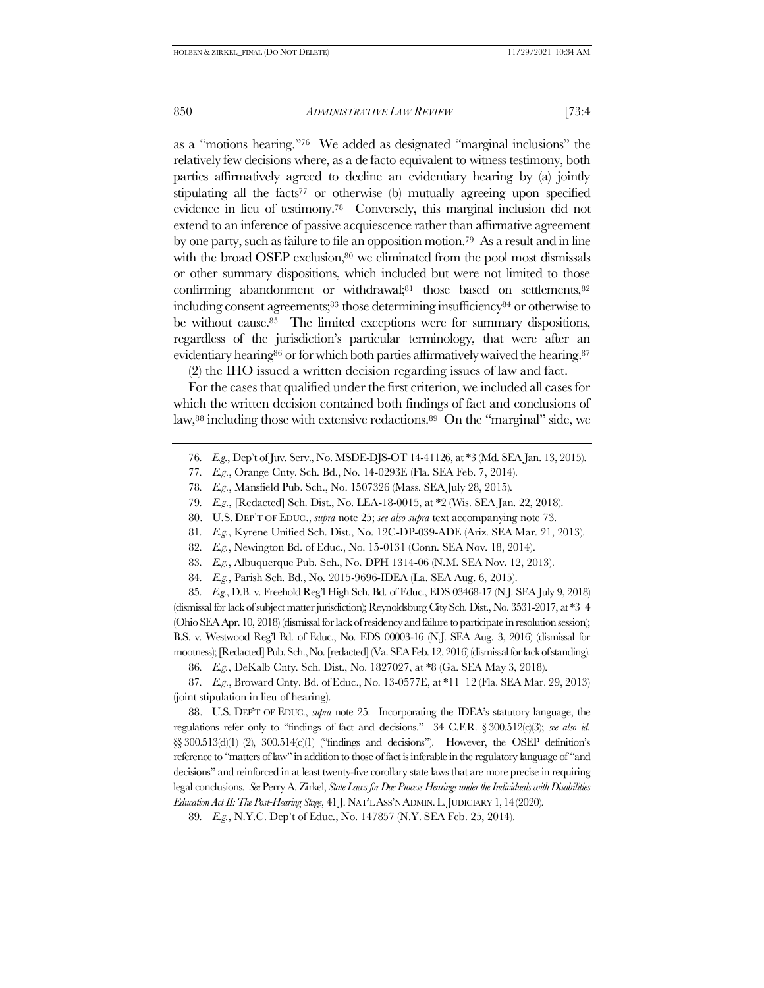<span id="page-17-0"></span>as a "motions hearing."<sup>76</sup> We added as designated "marginal inclusions" the relatively few decisions where, as a de facto equivalent to witness testimony, both parties affirmatively agreed to decline an evidentiary hearing by (a) jointly stipulating all the facts<sup> $77$ </sup> or otherwise (b) mutually agreeing upon specified evidence in lieu of testimony.78 Conversely, this marginal inclusion did not extend to an inference of passive acquiescence rather than affirmative agreement by one party, such as failure to file an opposition motion.79 As a result and in line with the broad OSEP exclusion, $80$  we eliminated from the pool most dismissals or other summary dispositions, which included but were not limited to those confirming abandonment or withdrawal;<sup>81</sup> those based on settlements,<sup>82</sup> including consent agreements;<sup>83</sup> those determining insufficiency<sup>84</sup> or otherwise to be without cause.85 The limited exceptions were for summary dispositions, regardless of the jurisdiction's particular terminology, that were after an evidentiary hearing<sup>86</sup> or for which both parties affirmatively waived the hearing.<sup>87</sup>

<span id="page-17-1"></span>(2) the IHO issued a written decision regarding issues of law and fact.

For the cases that qualified under the first criterion, we included all cases for which the written decision contained both findings of fact and conclusions of law,<sup>88</sup> including those with extensive redactions.<sup>89</sup> On the "marginal" side, we

79*. E.g*., [Redacted] Sch. Dist., No. LEA-18-0015, at \*2 (Wis. SEA Jan. 22, 2018).

- 80. U.S. DEP'T OF EDUC., *supra* not[e 25;](#page-6-0) *see also supra* text accompanying note [73.](#page-16-0)
- 81*. E.g.*, Kyrene Unified Sch. Dist., No. 12C-DP-039-ADE (Ariz. SEA Mar. 21, 2013).
- 82*. E.g.*, Newington Bd. of Educ., No. 15-0131 (Conn. SEA Nov. 18, 2014).
- 83*. E.g.*, Albuquerque Pub. Sch., No. DPH 1314-06 (N.M. SEA Nov. 12, 2013).
- 84*. E.g.*, Parish Sch. Bd., No. 2015-9696-IDEA (La. SEA Aug. 6, 2015).

85*. E.g.*, D.B. v. Freehold Reg'l High Sch. Bd. of Educ., EDS 03468-17 (N.J. SEA July 9, 2018) (dismissal for lack of subject matter jurisdiction); Reynoldsburg City Sch. Dist., No. 3531-2017, at \*3–4 (Ohio SEA Apr. 10, 2018) (dismissal for lack of residency and failure to participate in resolution session); B.S. v. Westwood Reg'l Bd. of Educ., No. EDS 00003-16 (N.J. SEA Aug. 3, 2016) (dismissal for mootness); [Redacted] Pub. Sch., No. [redacted] (Va. SEA Feb. 12, 2016) (dismissal for lack of standing).

86*. E.g.*, DeKalb Cnty. Sch. Dist., No. 1827027, at \*8 (Ga. SEA May 3, 2018).

87*. E.g*., Broward Cnty. Bd. of Educ., No. 13-0577E, at \*11–12 (Fla. SEA Mar. 29, 2013) (joint stipulation in lieu of hearing).

88. U.S. DEP'T OF EDUC., *supra* note [25.](#page-6-0) Incorporating the IDEA's statutory language, the regulations refer only to "findings of fact and decisions." 34 C.F.R. § 300.512(c)(3); *see also id.*  $\S$ § 300.513(d)(1)–(2), 300.514(c)(1) ("findings and decisions"). However, the OSEP definition's reference to "matters of law" in addition to those of fact is inferable in the regulatory language of "and decisions" and reinforced in at least twenty-five corollary state laws that are more precise in requiring legal conclusions. *See* Perry A. Zirkel, *State Laws for Due Process Hearings under the Individuals with Disabilities Education Act II: The Post-Hearing Stage*, 41 J. NAT'L ASS'N ADMIN.L.JUDICIARY 1,14(2020).

89*. E.g.*, N.Y.C. Dep't of Educ., No. 147857 (N.Y. SEA Feb. 25, 2014).

<sup>76</sup>*. E.g*., Dep't of Juv. Serv., No. MSDE-DJS-OT 14-41126, at \*3 (Md. SEA Jan. 13, 2015).

<sup>77</sup>*. E.g*., Orange Cnty. Sch. Bd., No. 14-0293E (Fla. SEA Feb. 7, 2014).

<sup>78</sup>*. E.g*., Mansfield Pub. Sch., No. 1507326 (Mass. SEA July 28, 2015).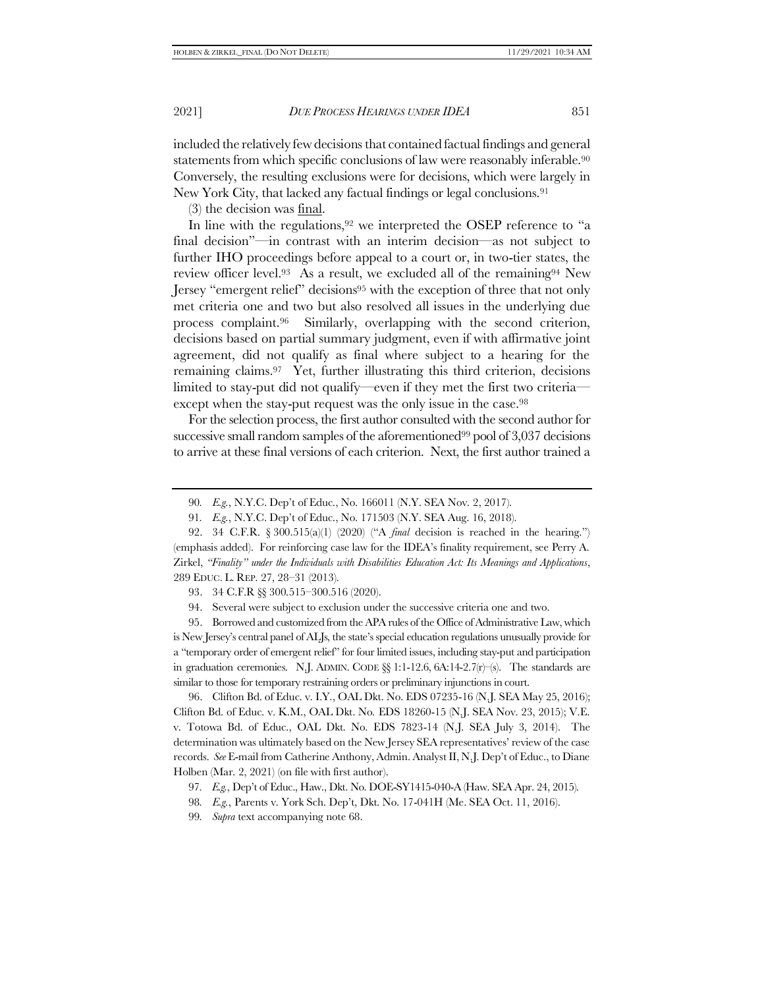included the relatively few decisions that contained factual findings and general statements from which specific conclusions of law were reasonably inferable.<sup>90</sup> Conversely, the resulting exclusions were for decisions, which were largely in New York City, that lacked any factual findings or legal conclusions.<sup>91</sup>

<span id="page-18-0"></span>(3) the decision was final.

<span id="page-18-1"></span>In line with the regulations,<sup>92</sup> we interpreted the OSEP reference to "a final decision"—in contrast with an interim decision—as not subject to further IHO proceedings before appeal to a court or, in two-tier states, the review officer level.93 As a result, we excluded all of the remaining<sup>94</sup> New Jersey "emergent relief" decisions<sup>95</sup> with the exception of three that not only met criteria one and two but also resolved all issues in the underlying due process complaint.96 Similarly, overlapping with the second criterion, decisions based on partial summary judgment, even if with affirmative joint agreement, did not qualify as final where subject to a hearing for the remaining claims.97 Yet, further illustrating this third criterion, decisions limited to stay-put did not qualify—even if they met the first two criteria except when the stay-put request was the only issue in the case.<sup>98</sup>

For the selection process, the first author consulted with the second author for successive small random samples of the aforementioned<sup>99</sup> pool of 3,037 decisions to arrive at these final versions of each criterion. Next, the first author trained a

93. 34 C.F.R §§ 300.515–300.516 (2020).

94. Several were subject to exclusion under the successive criteria one and two.

95. Borrowed and customized from the APA rules of the Office of Administrative Law, which is New Jersey's central panel of ALJs, the state's special education regulations unusually provide for a "temporary order of emergent relief" for four limited issues, including stay-put and participation in graduation ceremonies. N.J. ADMIN. CODE  $\S$ § 1:1-12.6, 6A:14-2.7(r)–(s). The standards are similar to those for temporary restraining orders or preliminary injunctions in court.

96. Clifton Bd. of Educ. v. I.Y., OAL Dkt. No. EDS 07235-16 (N.J. SEA May 25, 2016); Clifton Bd. of Educ. v. K.M., OAL Dkt. No. EDS 18260-15 (N.J. SEA Nov. 23, 2015); V.E. v. Totowa Bd. of Educ., OAL Dkt. No. EDS 7823-14 (N.J. SEA July 3, 2014). The determination was ultimately based on the New Jersey SEA representatives' review of the case records. *See* E-mail from Catherine Anthony, Admin. Analyst II, N.J. Dep't of Educ., to Diane Holben (Mar. 2, 2021) (on file with first author).

99*. Supra* text accompanying not[e 68.](#page-15-0)

<sup>90</sup>*. E.g.*, N.Y.C. Dep't of Educ., No. 166011 (N.Y. SEA Nov. 2, 2017).

<sup>91</sup>*. E.g.*, N.Y.C. Dep't of Educ., No. 171503 (N.Y. SEA Aug. 16, 2018).

<sup>92.</sup> 34 C.F.R. § 300.515(a)(1) (2020) ("A *final* decision is reached in the hearing.") (emphasis added). For reinforcing case law for the IDEA's finality requirement, see Perry A. Zirkel, *"Finality" under the Individuals with Disabilities Education Act: Its Meanings and Applications*, 289 EDUC. L. REP. 27, 28–31 (2013).

<sup>97</sup>*. E.g.*, Dep't of Educ., Haw., Dkt. No. DOE-SY1415-040-A (Haw. SEA Apr. 24, 2015).

<sup>98</sup>*. E.g.*, Parents v. York Sch. Dep't, Dkt. No. 17-041H (Me. SEA Oct. 11, 2016).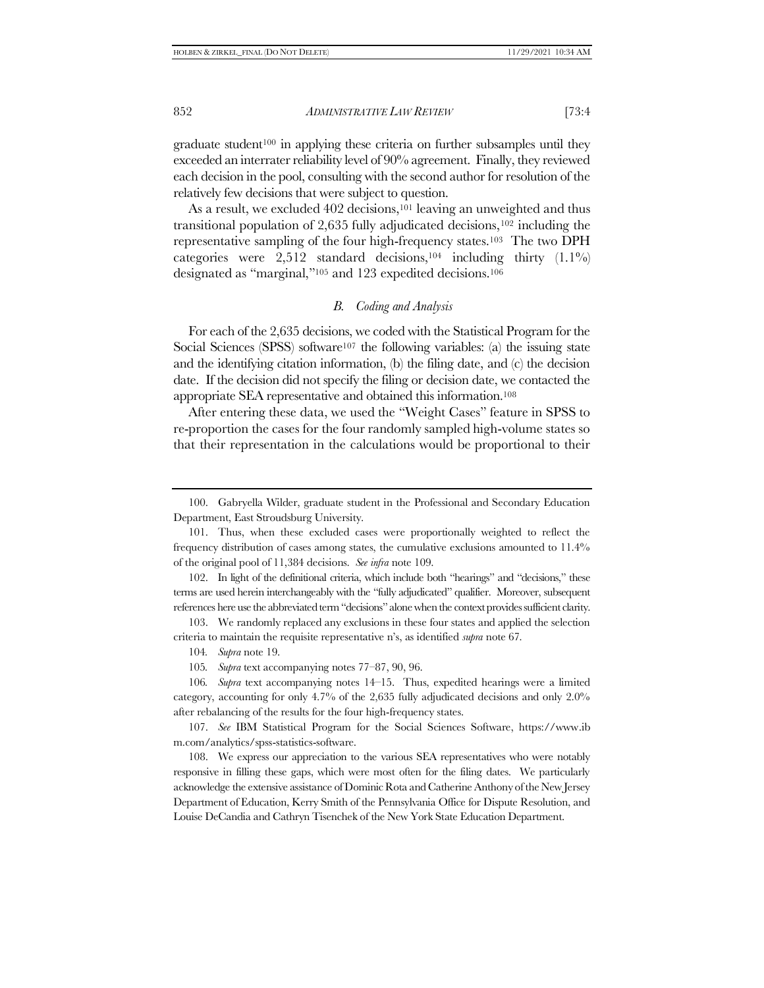$\alpha$  graduate student<sup>100</sup> in applying these criteria on further subsamples until they exceeded an interrater reliability level of 90% agreement. Finally, they reviewed each decision in the pool, consulting with the second author for resolution of the relatively few decisions that were subject to question.

As a result, we excluded 402 decisions,<sup>101</sup> leaving an unweighted and thus transitional population of 2,635 fully adjudicated decisions,<sup>102</sup> including the representative sampling of the four high-frequency states.103 The two DPH categories were  $2,512$  standard decisions,<sup>104</sup> including thirty  $(1.1\%)$ designated as "marginal,"<sup>105</sup> and 123 expedited decisions.<sup>106</sup>

### <span id="page-19-0"></span>*B. Coding and Analysis*

For each of the 2,635 decisions, we coded with the Statistical Program for the Social Sciences (SPSS) software<sup>107</sup> the following variables: (a) the issuing state and the identifying citation information, (b) the filing date, and (c) the decision date. If the decision did not specify the filing or decision date, we contacted the appropriate SEA representative and obtained this information.<sup>108</sup>

After entering these data, we used the "Weight Cases" feature in SPSS to re-proportion the cases for the four randomly sampled high-volume states so that their representation in the calculations would be proportional to their

103. We randomly replaced any exclusions in these four states and applied the selection criteria to maintain the requisite representative n's, as identified *supra* not[e 67](#page-15-1)*.* 

<sup>100.</sup> Gabryella Wilder, graduate student in the Professional and Secondary Education Department, East Stroudsburg University.

<sup>101.</sup> Thus, when these excluded cases were proportionally weighted to reflect the frequency distribution of cases among states, the cumulative exclusions amounted to 11.4% of the original pool of 11,384 decisions. *See infra* note [109.](#page-20-0)

<sup>102.</sup> In light of the definitional criteria, which include both "hearings" and "decisions," these terms are used herein interchangeably with the "fully adjudicated" qualifier. Moreover, subsequent references here use the abbreviated term "decisions" alone when the context provides sufficient clarity.

<sup>104</sup>*. Supra* not[e 19.](#page-4-0)

<sup>105</sup>*. Supra* text accompanying notes [77](#page-17-0)–[87,](#page-17-1) [90,](#page-18-0) [96.](#page-18-1)

<sup>106</sup>*. Supra* text accompanying notes [14](#page-3-2)–[15.](#page-3-1) Thus, expedited hearings were a limited category, accounting for only 4.7% of the 2,635 fully adjudicated decisions and only 2.0% after rebalancing of the results for the four high-frequency states.

<sup>107.</sup> *See* IBM Statistical Program for the Social Sciences Software, https://www.ib m.com/analytics/spss-statistics-software.

<sup>108.</sup> We express our appreciation to the various SEA representatives who were notably responsive in filling these gaps, which were most often for the filing dates. We particularly acknowledge the extensive assistance of Dominic Rota and Catherine Anthony of the New Jersey Department of Education, Kerry Smith of the Pennsylvania Office for Dispute Resolution, and Louise DeCandia and Cathryn Tisenchek of the New York State Education Department.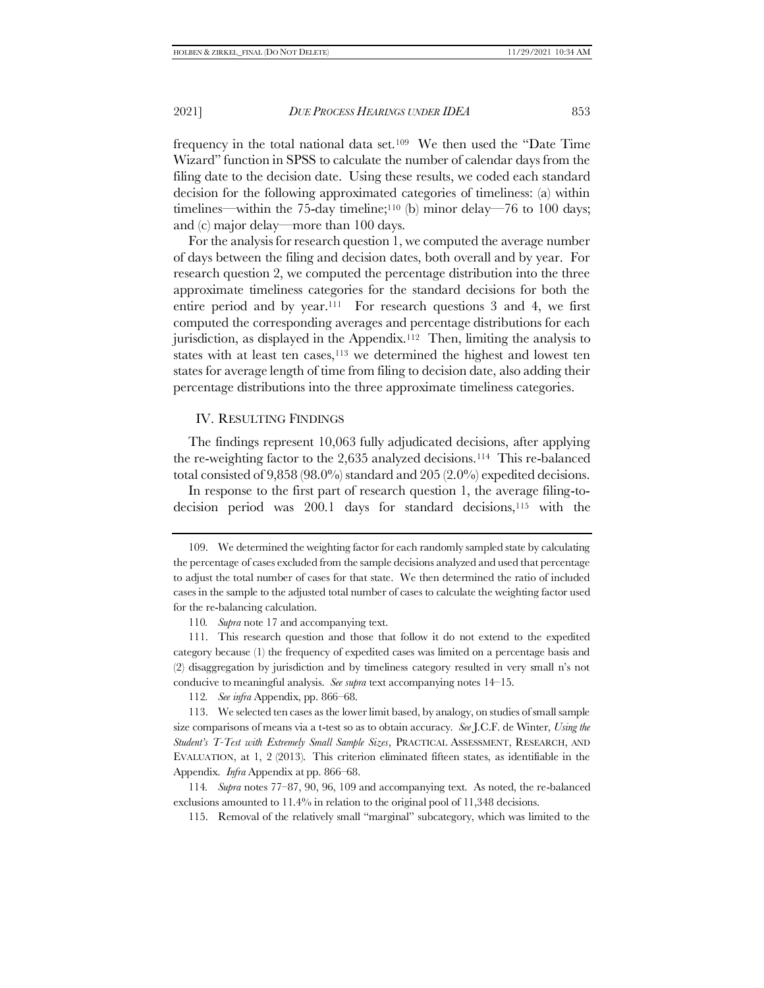<span id="page-20-0"></span>frequency in the total national data set.109 We then used the "Date Time Wizard" function in SPSS to calculate the number of calendar days from the filing date to the decision date. Using these results, we coded each standard decision for the following approximated categories of timeliness: (a) within timelines—within the 75-day timeline;<sup>110</sup> (b) minor delay—76 to 100 days; and (c) major delay—more than 100 days.

For the analysis for research question 1, we computed the average number of days between the filing and decision dates, both overall and by year. For research question 2, we computed the percentage distribution into the three approximate timeliness categories for the standard decisions for both the entire period and by year.111 For research questions 3 and 4, we first computed the corresponding averages and percentage distributions for each jurisdiction, as displayed in the Appendix.112 Then, limiting the analysis to states with at least ten cases, $113$  we determined the highest and lowest ten states for average length of time from filing to decision date, also adding their percentage distributions into the three approximate timeliness categories.

### <span id="page-20-3"></span><span id="page-20-2"></span><span id="page-20-1"></span>IV. RESULTING FINDINGS

The findings represent 10,063 fully adjudicated decisions, after applying the re-weighting factor to the 2,635 analyzed decisions.114 This re-balanced total consisted of 9,858 (98.0%) standard and 205 (2.0%) expedited decisions.

In response to the first part of research question 1, the average filing-todecision period was 200.1 days for standard decisions,<sup>115</sup> with the

112*. See infra* Appendix, pp. 866–68.

113. We selected ten cases as the lower limit based, by analogy, on studies of small sample size comparisons of means via a t-test so as to obtain accuracy. *See* J.C.F. de Winter, *Using the Student's T-Test with Extremely Small Sample Sizes*, PRACTICAL ASSESSMENT, RESEARCH, AND EVALUATION, at 1, 2 (2013). This criterion eliminated fifteen states, as identifiable in the Appendix. *Infra* Appendix at pp. 866–68.

114*. Supra* note[s 77](#page-17-0)–[87,](#page-17-1) [90,](#page-18-0) [96,](#page-18-1) [109](#page-20-0) and accompanying text. As noted, the re-balanced exclusions amounted to 11.4% in relation to the original pool of 11,348 decisions.

115. Removal of the relatively small "marginal" subcategory, which was limited to the

<sup>109.</sup> We determined the weighting factor for each randomly sampled state by calculating the percentage of cases excluded from the sample decisions analyzed and used that percentage to adjust the total number of cases for that state. We then determined the ratio of included cases in the sample to the adjusted total number of cases to calculate the weighting factor used for the re-balancing calculation.

<sup>110</sup>*. Supra* not[e 17](#page-4-3) and accompanying text.

<sup>111.</sup> This research question and those that follow it do not extend to the expedited category because (1) the frequency of expedited cases was limited on a percentage basis and (2) disaggregation by jurisdiction and by timeliness category resulted in very small n's not conducive to meaningful analysis. *See supra* text accompanying note[s 14](#page-3-2)–[15.](#page-3-1)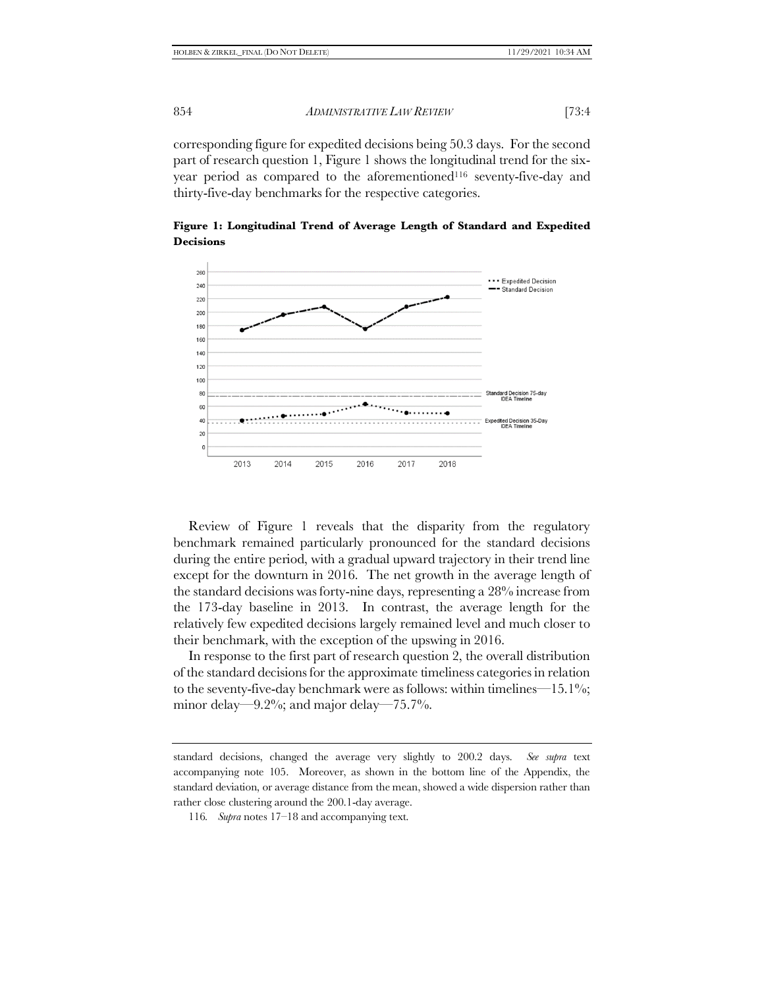corresponding figure for expedited decisions being 50.3 days. For the second part of research question 1, Figure 1 shows the longitudinal trend for the sixyear period as compared to the aforementioned<sup>116</sup> seventy-five-day and thirty-five-day benchmarks for the respective categories.



**Figure 1: Longitudinal Trend of Average Length of Standard and Expedited Decisions**

Review of Figure 1 reveals that the disparity from the regulatory benchmark remained particularly pronounced for the standard decisions during the entire period, with a gradual upward trajectory in their trend line except for the downturn in 2016. The net growth in the average length of the standard decisions was forty-nine days, representing a 28% increase from the 173-day baseline in 2013. In contrast, the average length for the relatively few expedited decisions largely remained level and much closer to their benchmark, with the exception of the upswing in 2016.

In response to the first part of research question 2, the overall distribution of the standard decisions for the approximate timeliness categories in relation to the seventy-five-day benchmark were as follows: within timelines— $15.1\%$ ; minor delay—9.2%; and major delay—75.7%.

standard decisions, changed the average very slightly to 200.2 days. *See supra* text accompanying note [105.](#page-19-0) Moreover, as shown in the bottom line of the Appendix, the standard deviation, or average distance from the mean, showed a wide dispersion rather than rather close clustering around the 200.1-day average.

<sup>116</sup>*. Supra* note[s 17](#page-4-3)–[18](#page-4-2) and accompanying text.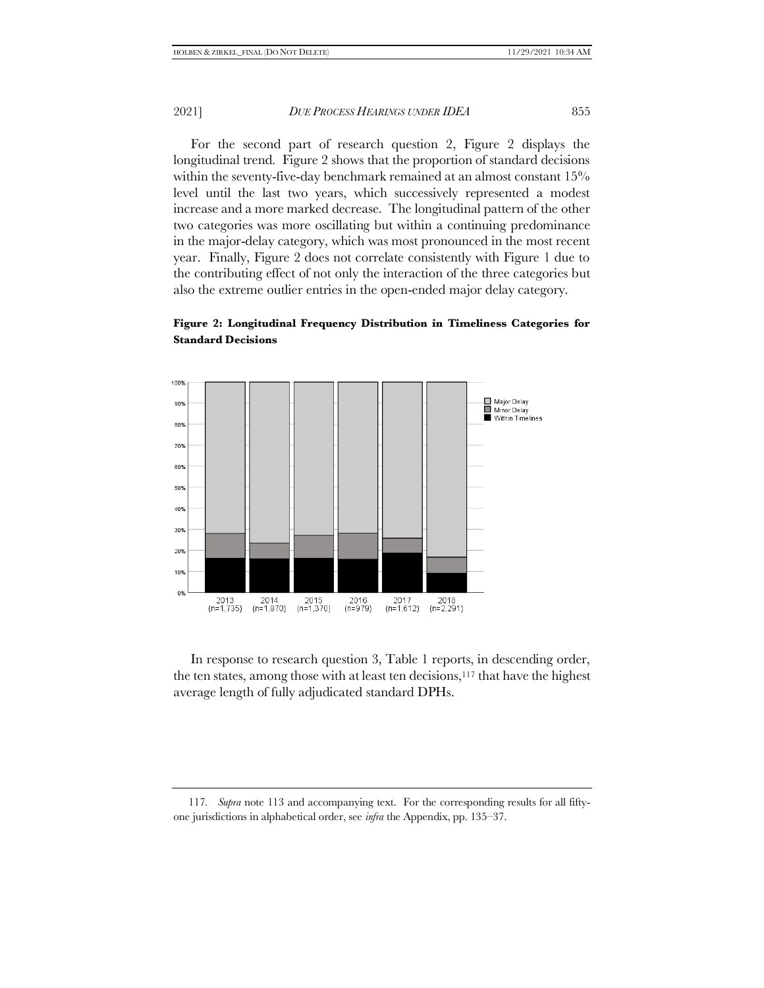For the second part of research question 2, Figure 2 displays the longitudinal trend. Figure 2 shows that the proportion of standard decisions within the seventy-five-day benchmark remained at an almost constant 15% level until the last two years, which successively represented a modest increase and a more marked decrease. The longitudinal pattern of the other two categories was more oscillating but within a continuing predominance in the major-delay category, which was most pronounced in the most recent year. Finally, Figure 2 does not correlate consistently with Figure 1 due to the contributing effect of not only the interaction of the three categories but also the extreme outlier entries in the open-ended major delay category.

# **Figure 2: Longitudinal Frequency Distribution in Timeliness Categories for Standard Decisions**



 In response to research question 3, Table 1 reports, in descending order, the ten states, among those with at least ten decisions,<sup>117</sup> that have the highest average length of fully adjudicated standard DPHs.

<sup>117</sup>*. Supra* note [113](#page-20-1) and accompanying text. For the corresponding results for all fiftyone jurisdictions in alphabetical order, see *infra* the Appendix, pp. 135–37.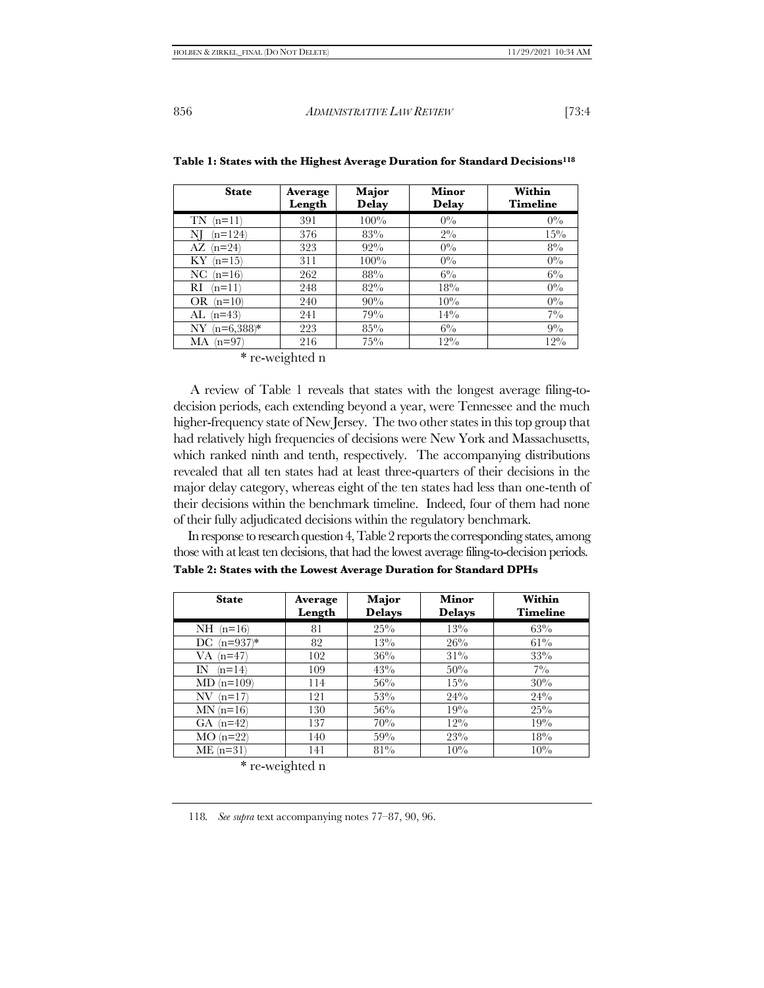| <b>State</b>       | Average<br>Length | Major<br><b>Delay</b> | Minor<br><b>Delay</b> | Within<br><b>Timeline</b> |
|--------------------|-------------------|-----------------------|-----------------------|---------------------------|
| TN<br>$(n=11)$     | 391               | 100%                  | $0\%$                 | $0\%$                     |
| $n=124$<br>NI      | 376               | 83%                   | $2\%$                 | $15\%$                    |
| $(n=24)$<br>AZ     | 323               | $92\%$                | $0\%$                 | $8\%$                     |
| ΚY<br>$(n=15)$     | 311               | $100\%$               | $0\%$                 | $0\%$                     |
| NC<br>$(n=16)$     | 262               | 88%                   | $6\%$                 | $6\%$                     |
| RI<br>$(n=11)$     | 248               | 82%                   | 18%                   | $0\%$                     |
| OR<br>$(n=10)$     | 240               | 90%                   | $10\%$                | $0\%$                     |
| $(n=43)$<br>AL     | 241               | 79%                   | $14\%$                | $7\%$                     |
| $(n=6,388)*$<br>NY | 223               | $85\%$                | $6\%$                 | $9\%$                     |
| МA<br>$(n=97)$     | 216               | $75\%$                | $12\%$                | $12\%$                    |

|  |  |  | Table 1: States with the Highest Average Duration for Standard Decisions <sup>118</sup> |  |  |
|--|--|--|-----------------------------------------------------------------------------------------|--|--|
|  |  |  |                                                                                         |  |  |

\* re-weighted n

 A review of Table 1 reveals that states with the longest average filing-todecision periods, each extending beyond a year, were Tennessee and the much higher-frequency state of New Jersey. The two other states in this top group that had relatively high frequencies of decisions were New York and Massachusetts, which ranked ninth and tenth, respectively. The accompanying distributions revealed that all ten states had at least three-quarters of their decisions in the major delay category, whereas eight of the ten states had less than one-tenth of their decisions within the benchmark timeline. Indeed, four of them had none of their fully adjudicated decisions within the regulatory benchmark.

 In response to research question 4, Table 2 reports the corresponding states, among those with at least ten decisions, that had the lowest average filing-to-decision periods. **Table 2: States with the Lowest Average Duration for Standard DPHs**

| <b>State</b>      | Average<br>Length | Major<br><b>Delays</b> | Minor<br><b>Delays</b> | Within<br><b>Timeline</b> |
|-------------------|-------------------|------------------------|------------------------|---------------------------|
| NH<br>$(n=16)$    | 81                | $25\%$                 | 13%                    | 63%                       |
| $(n=937)*$<br>DC. | 82                | $13\%$                 | 26%                    | $61\%$                    |
| VA<br>$(n=47)$    | 102               | 36%                    | $31\%$                 | 33%                       |
| IN<br>$(n=14)$    | 109               | 43%                    | 50%                    | $7\%$                     |
| MD.<br>$(n=109)$  | 114               | 56%                    | $15\%$                 | 30%                       |
| NV<br>$(n=17)$    | 121               | 53%                    | 24%                    | 24%                       |
| $MN(n=16)$        | 130               | 56%                    | 19%                    | $25\%$                    |
| $(n=42)$<br>GA.   | 137               | 70%                    | $12\%$                 | 19%                       |
| $MO(n=22)$        | 140               | 59%                    | 23%                    | 18%                       |
| $ME(n=31)$        | 141               | $81\%$                 | 10%                    | 10%                       |

\* re-weighted n

118*. See supra* text accompanying note[s 77](#page-17-0)–[87,](#page-17-1) [90,](#page-18-0) [96.](#page-18-1)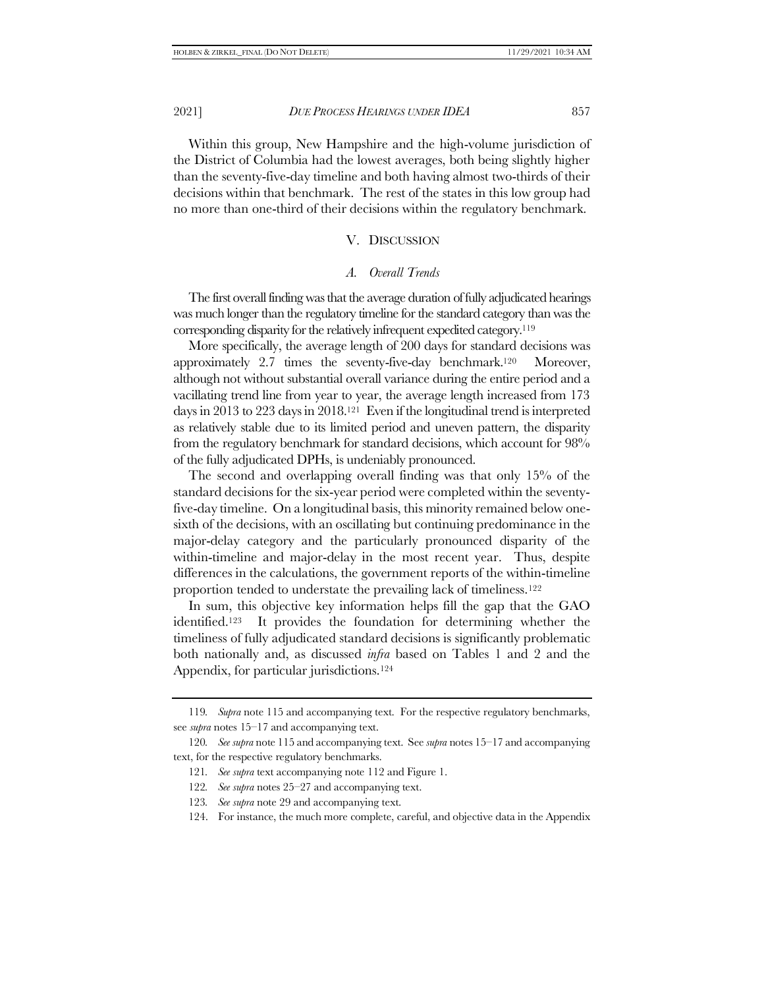Within this group, New Hampshire and the high-volume jurisdiction of the District of Columbia had the lowest averages, both being slightly higher than the seventy-five-day timeline and both having almost two-thirds of their decisions within that benchmark. The rest of the states in this low group had no more than one-third of their decisions within the regulatory benchmark.

### V. DISCUSSION

### *A. Overall Trends*

The first overall finding was that the average duration of fully adjudicated hearings was much longer than the regulatory timeline for the standard category than was the corresponding disparity for the relatively infrequent expedited category.<sup>119</sup>

More specifically, the average length of 200 days for standard decisions was approximately 2.7 times the seventy-five-day benchmark.120 Moreover, although not without substantial overall variance during the entire period and a vacillating trend line from year to year, the average length increased from 173 days in 2013 to 223 days in 2018.121 Even if the longitudinal trend is interpreted as relatively stable due to its limited period and uneven pattern, the disparity from the regulatory benchmark for standard decisions, which account for 98% of the fully adjudicated DPHs, is undeniably pronounced.

The second and overlapping overall finding was that only 15% of the standard decisions for the six-year period were completed within the seventyfive-day timeline. On a longitudinal basis, this minority remained below onesixth of the decisions, with an oscillating but continuing predominance in the major-delay category and the particularly pronounced disparity of the within-timeline and major-delay in the most recent year. Thus, despite differences in the calculations, the government reports of the within-timeline proportion tended to understate the prevailing lack of timeliness.<sup>122</sup>

In sum, this objective key information helps fill the gap that the GAO identified.123 It provides the foundation for determining whether the timeliness of fully adjudicated standard decisions is significantly problematic both nationally and, as discussed *infra* based on Tables 1 and 2 and the Appendix, for particular jurisdictions.<sup>124</sup>

<span id="page-24-0"></span><sup>119</sup>*. Supra* not[e 115](#page-20-2) and accompanying text. For the respective regulatory benchmarks, see *supra* note[s 15](#page-3-1)–[17](#page-4-3) and accompanying text.

<sup>120</sup>*. See supra* not[e 115](#page-20-2) and accompanying text. See *supra* note[s 15](#page-3-1)–[17](#page-4-3) and accompanying text, for the respective regulatory benchmarks.

<sup>121</sup>*. See supra* text accompanying not[e 112](#page-20-3) and Figure 1.

<sup>122</sup>*. See supra* note[s 25](#page-6-0)–[27](#page-7-1) and accompanying text.

<sup>123</sup>*. See supra* not[e 29](#page-7-2) and accompanying text.

<sup>124.</sup> For instance, the much more complete, careful, and objective data in the Appendix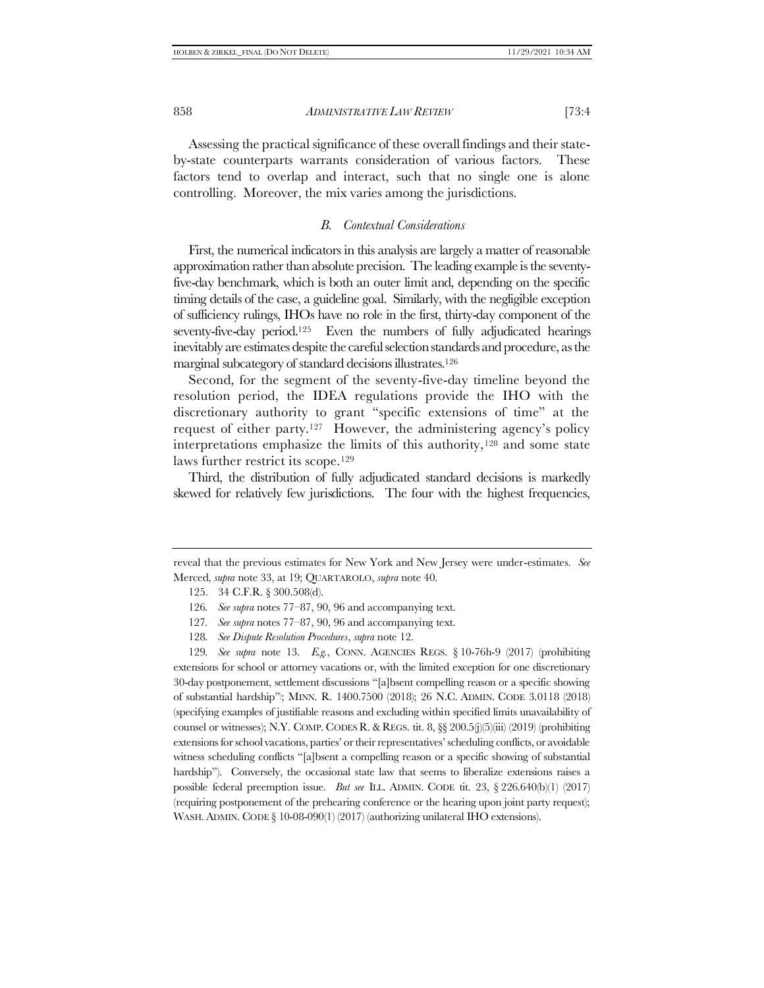Assessing the practical significance of these overall findings and their stateby-state counterparts warrants consideration of various factors. These factors tend to overlap and interact, such that no single one is alone controlling. Moreover, the mix varies among the jurisdictions.

### <span id="page-25-0"></span>*B. Contextual Considerations*

First, the numerical indicators in this analysis are largely a matter of reasonable approximation rather than absolute precision. The leading example is the seventyfive-day benchmark, which is both an outer limit and, depending on the specific timing details of the case, a guideline goal. Similarly, with the negligible exception of sufficiency rulings, IHOs have no role in the first, thirty-day component of the seventy-five-day period.<sup>125</sup> Even the numbers of fully adjudicated hearings inevitably are estimates despite the careful selection standards and procedure, as the marginal subcategory of standard decisions illustrates.<sup>126</sup>

Second, for the segment of the seventy-five-day timeline beyond the resolution period, the IDEA regulations provide the IHO with the discretionary authority to grant "specific extensions of time" at the request of either party.<sup>127</sup> However, the administering agency's policy interpretations emphasize the limits of this authority,<sup>128</sup> and some state laws further restrict its scope.<sup>129</sup>

Third, the distribution of fully adjudicated standard decisions is markedly skewed for relatively few jurisdictions. The four with the highest frequencies,

reveal that the previous estimates for New York and New Jersey were under-estimates. *See*  Merced, *supra* not[e 33,](#page-8-1) at 19; QUARTAROLO, *supra* not[e 40.](#page-9-1)

<sup>125.</sup> 34 C.F.R. § 300.508(d).

<sup>126</sup>*. See supra* note[s 77](#page-17-0)–[87,](#page-17-1) [90,](#page-18-0) [96](#page-18-1) and accompanying text.

<sup>127</sup>*. See supra* notes [77](#page-17-0)–[87,](#page-17-1) [90,](#page-18-0) [96](#page-18-1) and accompanying text.

<sup>128</sup>*. See Dispute Resolution Procedures*, *supra* not[e 12.](#page-3-0)

<sup>129</sup>*. See supra* note [13.](#page-3-3) *E.g.*, CONN. AGENCIES REGS. § 10-76h-9 (2017) (prohibiting extensions for school or attorney vacations or, with the limited exception for one discretionary 30-day postponement, settlement discussions "[a]bsent compelling reason or a specific showing of substantial hardship") ; MINN. R. 1400.7500 (2018); 26 N.C. ADMIN. CODE 3.0118 (2018) (specifying examples of justifiable reasons and excluding within specified limits unavailability of counsel or witnesses); N.Y. COMP. CODES R. & REGS. tit. 8, §§ 200.5(j)(5)(iii) (2019) (prohibiting extensions for school vacations, parties' or their representatives' scheduling conflicts, or avoidable witness scheduling conflicts "[a]bsent a compelling reason or a specific showing of substantial hardship"). Conversely, the occasional state law that seems to liberalize extensions raises a possible federal preemption issue. *But see* ILL. ADMIN. CODE tit. 23, § 226.640(b)(1) (2017) (requiring postponement of the prehearing conference or the hearing upon joint party request); WASH. ADMIN. CODE § 10-08-090(1) (2017) (authorizing unilateral IHO extensions).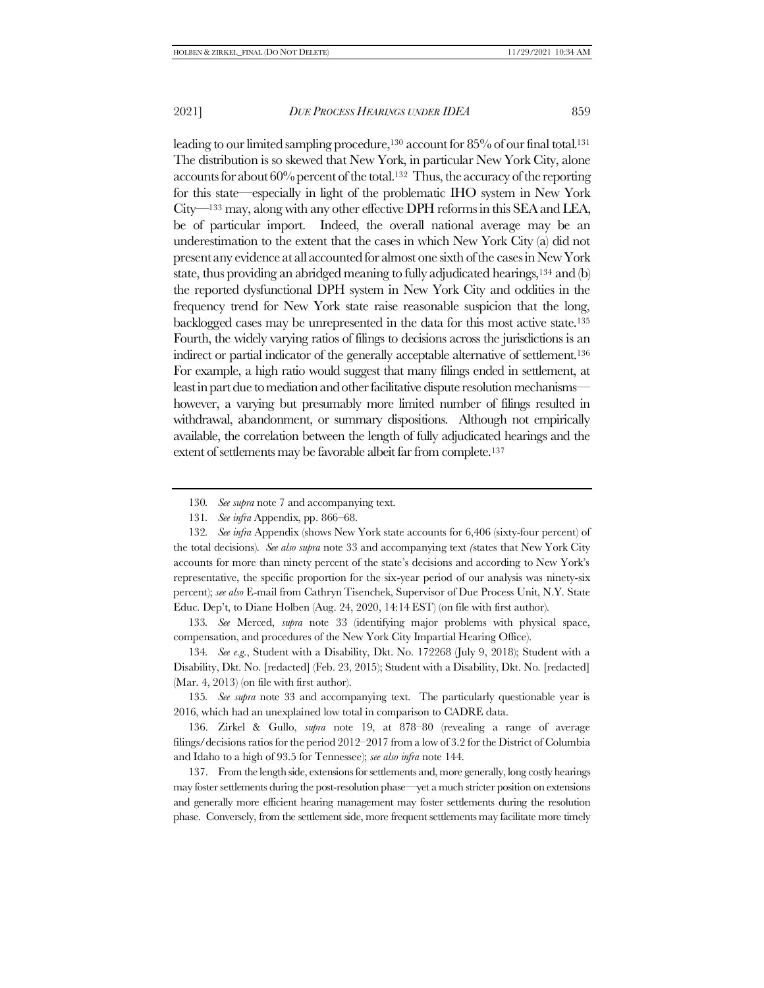leading to our limited sampling procedure,<sup>130</sup> account for 85% of our final total.<sup>131</sup> The distribution is so skewed that New York, in particular New York City, alone accounts for about 60% percent of the total.132 Thus, the accuracy of the reporting for this state—especially in light of the problematic IHO system in New York City—<sup>133</sup> may, along with any other effective DPH reforms in this SEA and LEA, be of particular import. Indeed, the overall national average may be an underestimation to the extent that the cases in which New York City (a) did not present any evidence at all accounted for almost one sixth of the cases in New York state, thus providing an abridged meaning to fully adjudicated hearings,<sup>134</sup> and (b) the reported dysfunctional DPH system in New York City and oddities in the frequency trend for New York state raise reasonable suspicion that the long, backlogged cases may be unrepresented in the data for this most active state.<sup>135</sup> Fourth, the widely varying ratios of filings to decisions across the jurisdictions is an indirect or partial indicator of the generally acceptable alternative of settlement.<sup>136</sup> For example, a high ratio would suggest that many filings ended in settlement, at least in part due to mediation and other facilitative dispute resolution mechanisms however, a varying but presumably more limited number of filings resulted in withdrawal, abandonment, or summary dispositions. Although not empirically available, the correlation between the length of fully adjudicated hearings and the extent of settlements may be favorable albeit far from complete.<sup>137</sup>

132*. See infra* Appendix (shows New York state accounts for 6,406 (sixty-four percent) of the total decisions)*. See also supra* not[e 33](#page-8-1) and accompanying text *(*states that New York City accounts for more than ninety percent of the state's decisions and according to New York's representative, the specific proportion for the six-year period of our analysis was ninety-six percent); *see also* E-mail from Cathryn Tisenchek, Supervisor of Due Process Unit, N.Y. State Educ. Dep't, to Diane Holben (Aug. 24, 2020, 14:14 EST) (on file with first author).

133*. See* Merced, *supra* note [33](#page-8-1) (identifying major problems with physical space, compensation, and procedures of the New York City Impartial Hearing Office).

134*. See e.g*., Student with a Disability, Dkt. No. 172268 (July 9, 2018); Student with a Disability, Dkt. No. [redacted] (Feb. 23, 2015); Student with a Disability, Dkt. No. [redacted] (Mar. 4, 2013) (on file with first author).

135*. See supra* note [33](#page-8-1) and accompanying text. The particularly questionable year is 2016, which had an unexplained low total in comparison to CADRE data.

136. Zirkel & Gullo, *supra* note [19,](#page-4-0) at 878–80 (revealing a range of average filings/decisions ratios for the period 2012–2017 from a low of 3.2 for the District of Columbia and Idaho to a high of 93.5 for Tennessee); *see also infra* not[e 144.](#page-27-0)

137. From the length side, extensions for settlements and, more generally, long costly hearings may foster settlements during the post-resolution phase—yet a much stricter position on extensions and generally more efficient hearing management may foster settlements during the resolution phase. Conversely, from the settlement side, more frequent settlements may facilitate more timely

<sup>130</sup>*. See supra* not[e 7](#page-2-0) and accompanying text.

<sup>131</sup>*. See infra* Appendix, pp. 866–68.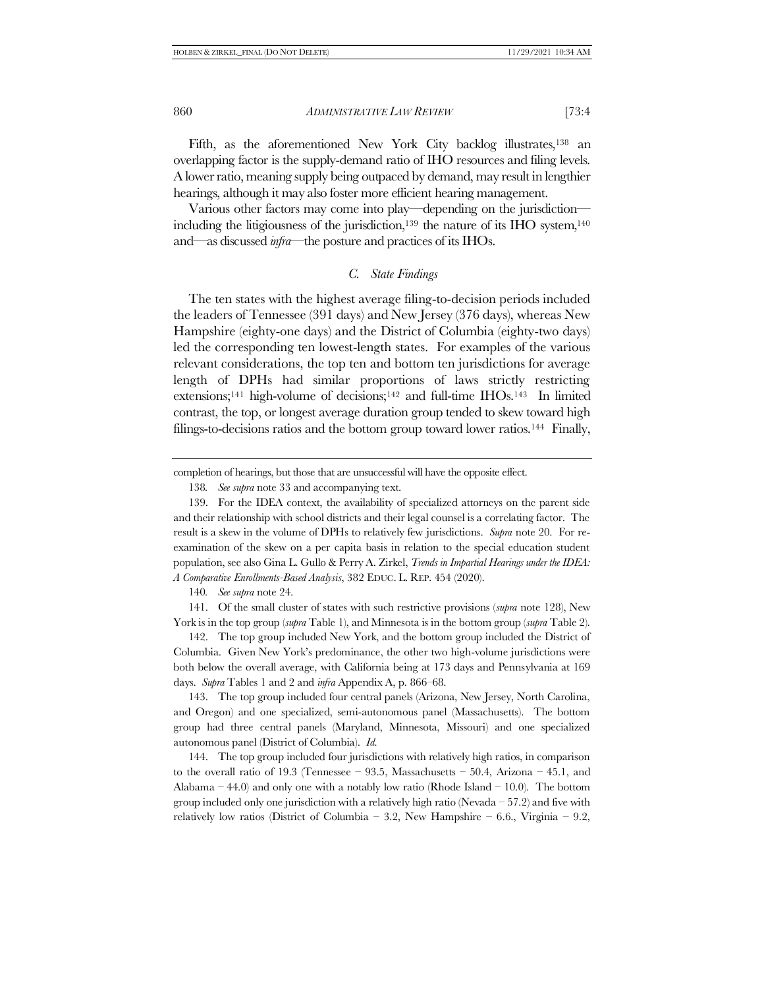Fifth, as the aforementioned New York City backlog illustrates,<sup>138</sup> an overlapping factor is the supply-demand ratio of IHO resources and filing levels. A lower ratio, meaning supply being outpaced by demand, may result in lengthier hearings, although it may also foster more efficient hearing management.

Various other factors may come into play—depending on the jurisdiction including the litigiousness of the jurisdiction,<sup>139</sup> the nature of its IHO system,<sup>140</sup> and—as discussed *infra*—the posture and practices of its IHOs.

### <span id="page-27-0"></span>*C. State Findings*

The ten states with the highest average filing-to-decision periods included the leaders of Tennessee (391 days) and New Jersey (376 days), whereas New Hampshire (eighty-one days) and the District of Columbia (eighty-two days) led the corresponding ten lowest-length states. For examples of the various relevant considerations, the top ten and bottom ten jurisdictions for average length of DPHs had similar proportions of laws strictly restricting extensions;<sup>141</sup> high-volume of decisions;<sup>142</sup> and full-time IHOs.<sup>143</sup> In limited contrast, the top, or longest average duration group tended to skew toward high filings-to-decisions ratios and the bottom group toward lower ratios.<sup>144</sup> Finally,

140*. See supra* not[e 24.](#page-6-1)

141. Of the small cluster of states with such restrictive provisions (*supra* not[e 128\)](#page-25-0), New York is in the top group (*supra* Table 1), and Minnesota is in the bottom group (*supra* Table 2).

142. The top group included New York, and the bottom group included the District of Columbia. Given New York's predominance, the other two high-volume jurisdictions were both below the overall average, with California being at 173 days and Pennsylvania at 169 days. *Supra* Tables 1 and 2 and *infra* Appendix A, p. 866–68.

143. The top group included four central panels (Arizona, New Jersey, North Carolina, and Oregon) and one specialized, semi-autonomous panel (Massachusetts). The bottom group had three central panels (Maryland, Minnesota, Missouri) and one specialized autonomous panel (District of Columbia). *Id.*

144. The top group included four jurisdictions with relatively high ratios, in comparison to the overall ratio of 19.3 (Tennessee  $-93.5$ , Massachusetts  $-50.4$ , Arizona  $-45.1$ , and Alabama – 44.0) and only one with a notably low ratio (Rhode Island – 10.0). The bottom group included only one jurisdiction with a relatively high ratio (Nevada  $-57.2$ ) and five with relatively low ratios (District of Columbia – 3.2, New Hampshire – 6.6., Virginia – 9.2,

completion of hearings, but those that are unsuccessful will have the opposite effect.

<sup>138</sup>*. See supra* not[e 33](#page-8-1) and accompanying text.

<sup>139.</sup> For the IDEA context, the availability of specialized attorneys on the parent side and their relationship with school districts and their legal counsel is a correlating factor. The result is a skew in the volume of DPHs to relatively few jurisdictions. *Supra* not[e 20.](#page-5-1) For reexamination of the skew on a per capita basis in relation to the special education student population, see also Gina L. Gullo & Perry A. Zirkel, *Trends in Impartial Hearings under the IDEA: A Comparative Enrollments-Based Analysis*, 382 EDUC. L. REP. 454 (2020).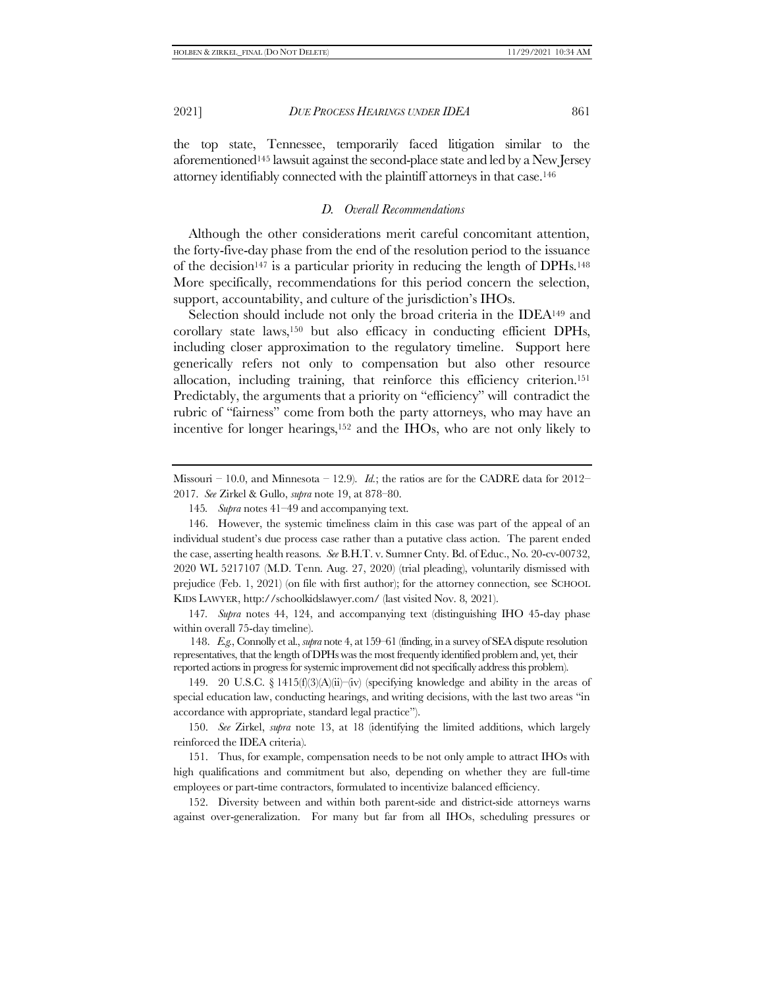the top state, Tennessee, temporarily faced litigation similar to the aforementioned<sup>145</sup> lawsuit against the second-place state and led by a New Jersey attorney identifiably connected with the plaintiff attorneys in that case.<sup>146</sup>

### *D. Overall Recommendations*

Although the other considerations merit careful concomitant attention, the forty-five-day phase from the end of the resolution period to the issuance of the decision<sup>147</sup> is a particular priority in reducing the length of DPHs.<sup>148</sup> More specifically, recommendations for this period concern the selection, support, accountability, and culture of the jurisdiction's IHOs.

Selection should include not only the broad criteria in the IDEA<sup>149</sup> and corollary state laws,<sup>150</sup> but also efficacy in conducting efficient DPHs, including closer approximation to the regulatory timeline. Support here generically refers not only to compensation but also other resource allocation, including training, that reinforce this efficiency criterion.<sup>151</sup> Predictably, the arguments that a priority on "efficiency" will contradict the rubric of "fairness" come from both the party attorneys, who may have an incentive for longer hearings,<sup>152</sup> and the IHOs, who are not only likely to

147*. Supra* notes [44,](#page-10-1) [124,](#page-24-0) and accompanying text (distinguishing IHO 45-day phase within overall 75-day timeline).

148. *E.g.*, Connolly et al., *supra* not[e 4,](#page-1-0) at 159–61 (finding, in a survey of SEA dispute resolution representatives, that the length of DPHs was the most frequently identified problem and, yet, their reported actions in progress for systemic improvement did not specifically address this problem).

149. 20 U.S.C. § 1415(f)(3)(A)(ii)–(iv) (specifying knowledge and ability in the areas of special education law, conducting hearings, and writing decisions, with the last two areas "in accordance with appropriate, standard legal practice").

150. *See* Zirkel, *supra* note [13,](#page-3-3) at 18 (identifying the limited additions, which largely reinforced the IDEA criteria).

151. Thus, for example, compensation needs to be not only ample to attract IHOs with high qualifications and commitment but also, depending on whether they are full-time employees or part-time contractors, formulated to incentivize balanced efficiency.

152. Diversity between and within both parent-side and district-side attorneys warns against over-generalization. For many but far from all IHOs, scheduling pressures or

Missouri – 10.0, and Minnesota – 12.9). *Id.*; the ratios are for the CADRE data for  $2012-$ 2017. *See* Zirkel & Gullo, *supra* note [19,](#page-4-0) at 878–80.

<sup>145</sup>*. Supra* note[s 41](#page-9-0)–[49](#page-10-0) and accompanying text.

<sup>146.</sup> However, the systemic timeliness claim in this case was part of the appeal of an individual student's due process case rather than a putative class action. The parent ended the case, asserting health reasons. *See* B.H.T. v. Sumner Cnty. Bd. of Educ., No. 20-cv-00732, 2020 WL 5217107 (M.D. Tenn. Aug. 27, 2020) (trial pleading), voluntarily dismissed with prejudice (Feb. 1, 2021) (on file with first author); for the attorney connection, see SCHOOL KIDS LAWYER, http://schoolkidslawyer.com/ (last visited Nov. 8, 2021).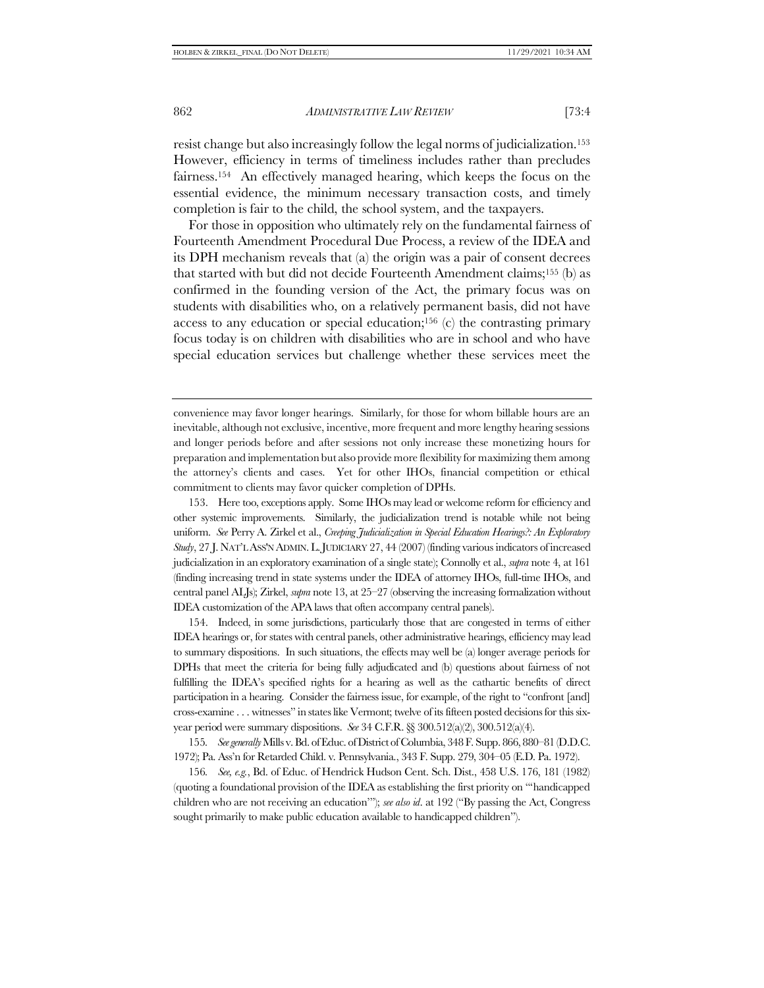resist change but also increasingly follow the legal norms of judicialization.<sup>153</sup> However, efficiency in terms of timeliness includes rather than precludes fairness.154 An effectively managed hearing, which keeps the focus on the essential evidence, the minimum necessary transaction costs, and timely completion is fair to the child, the school system, and the taxpayers.

For those in opposition who ultimately rely on the fundamental fairness of Fourteenth Amendment Procedural Due Process, a review of the IDEA and its DPH mechanism reveals that (a) the origin was a pair of consent decrees that started with but did not decide Fourteenth Amendment claims;<sup>155</sup> (b) as confirmed in the founding version of the Act, the primary focus was on students with disabilities who, on a relatively permanent basis, did not have access to any education or special education;<sup>156</sup> (c) the contrasting primary focus today is on children with disabilities who are in school and who have special education services but challenge whether these services meet the

convenience may favor longer hearings. Similarly, for those for whom billable hours are an inevitable, although not exclusive, incentive, more frequent and more lengthy hearing sessions and longer periods before and after sessions not only increase these monetizing hours for preparation and implementation but also provide more flexibility for maximizing them among the attorney's clients and cases. Yet for other IHOs, financial competition or ethical commitment to clients may favor quicker completion of DPHs.

153. Here too, exceptions apply. Some IHOs may lead or welcome reform for efficiency and other systemic improvements. Similarly, the judicialization trend is notable while not being uniform. *See* Perry A. Zirkel et al., *Creeping Judicialization in Special Education Hearings?: An Exploratory Study*, 27 J. NAT'L ASS'N ADMIN.L.JUDICIARY 27, 44 (2007) (finding various indicators of increased judicialization in an exploratory examination of a single state); Connolly et al., *supra* not[e 4,](#page-1-0) at 161 (finding increasing trend in state systems under the IDEA of attorney IHOs, full-time IHOs, and central panel ALJs); Zirkel, *supra* not[e 13,](#page-3-3) at 25–27 (observing the increasing formalization without IDEA customization of the APA laws that often accompany central panels).

154. Indeed, in some jurisdictions, particularly those that are congested in terms of either IDEA hearings or, for states with central panels, other administrative hearings, efficiency may lead to summary dispositions. In such situations, the effects may well be (a) longer average periods for DPHs that meet the criteria for being fully adjudicated and (b) questions about fairness of not fulfilling the IDEA's specified rights for a hearing as well as the cathartic benefits of direct participation in a hearing. Consider the fairness issue, for example, of the right to "confront [and] cross-examine . . . witnesses" in states like Vermont; twelve of its fifteen posted decisions for this sixyear period were summary dispositions. *See* 34 C.F.R. §§ 300.512(a)(2), 300.512(a)(4).

155*. See generally* Mills v. Bd. of Educ. of District of Columbia, 348 F. Supp. 866, 880–81 (D.D.C. 1972); Pa. Ass'n for Retarded Child. v. Pennsylvania., 343 F. Supp. 279, 304–05 (E.D. Pa. 1972).

156*. See, e.g.*, Bd. of Educ. of Hendrick Hudson Cent. Sch. Dist., 458 U.S. 176, 181 (1982) (quoting a foundational provision of the IDEA as establishing the first priority on "'handicapped children who are not receiving an education'"); *see also id*. at 192 ("By passing the Act, Congress sought primarily to make public education available to handicapped children").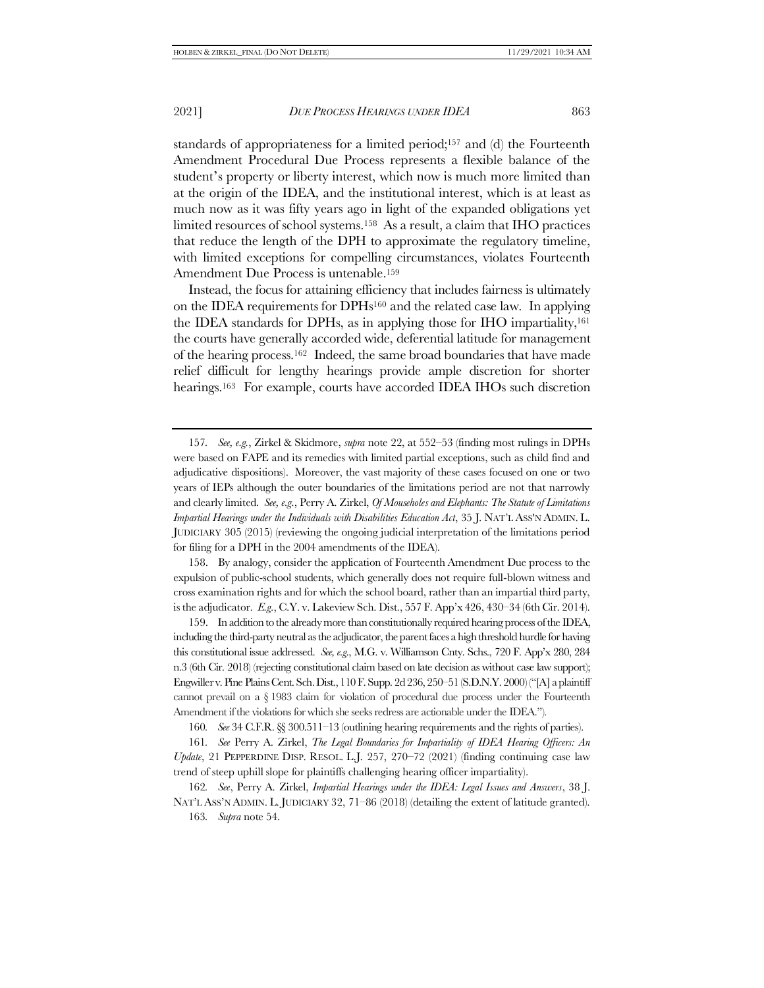standards of appropriateness for a limited period;<sup>157</sup> and (d) the Fourteenth Amendment Procedural Due Process represents a flexible balance of the student's property or liberty interest, which now is much more limited than at the origin of the IDEA, and the institutional interest, which is at least as much now as it was fifty years ago in light of the expanded obligations yet limited resources of school systems.158 As a result, a claim that IHO practices that reduce the length of the DPH to approximate the regulatory timeline, with limited exceptions for compelling circumstances, violates Fourteenth Amendment Due Process is untenable.<sup>159</sup>

Instead, the focus for attaining efficiency that includes fairness is ultimately on the IDEA requirements for  $DPHs^{160}$  and the related case law. In applying the IDEA standards for DPHs, as in applying those for IHO impartiality,<sup>161</sup> the courts have generally accorded wide, deferential latitude for management of the hearing process.162 Indeed, the same broad boundaries that have made relief difficult for lengthy hearings provide ample discretion for shorter hearings.<sup>163</sup> For example, courts have accorded IDEA IHOs such discretion

158. By analogy, consider the application of Fourteenth Amendment Due process to the expulsion of public-school students, which generally does not require full-blown witness and cross examination rights and for which the school board, rather than an impartial third party, is the adjudicator. *E.g*., C.Y. v. Lakeview Sch. Dist., 557 F. App'x 426, 430–34 (6th Cir. 2014).

159. In addition to the already more than constitutionally required hearing process of the IDEA, including the third-party neutral as the adjudicator, the parent faces a high threshold hurdle for having this constitutional issue addressed. *See, e.g*., M.G. v. Williamson Cnty. Schs., 720 F. App'x 280, 284 n.3 (6th Cir. 2018) (rejecting constitutional claim based on late decision as without case law support); Engwiller v. Pine Plains Cent. Sch. Dist., 110 F. Supp. 2d 236, 250–51 (S.D.N.Y. 2000) ("[A] a plaintiff cannot prevail on a § 1983 claim for violation of procedural due process under the Fourteenth Amendment if the violations for which she seeks redress are actionable under the IDEA.").

160*. See* 34 C.F.R.§§ 300.511–13 (outlining hearing requirements and the rights of parties).

161*. See* Perry A. Zirkel, *The Legal Boundaries for Impartiality of IDEA Hearing Officers: An Update*, 21 PEPPERDINE DISP. RESOL. L.J. 257, 270–72 (2021) (finding continuing case law trend of steep uphill slope for plaintiffs challenging hearing officer impartiality).

162*. See*, Perry A. Zirkel, *Impartial Hearings under the IDEA: Legal Issues and Answers*, 38 J. NAT'L ASS'N ADMIN. L. JUDICIARY 32, 71–86 (2018) (detailing the extent of latitude granted).

163*. Supra* not[e 54.](#page-11-1)

<sup>157</sup>*. See, e.g.*, Zirkel & Skidmore, *supra* note [22,](#page-5-0) at 552–53 (finding most rulings in DPHs were based on FAPE and its remedies with limited partial exceptions, such as child find and adjudicative dispositions). Moreover, the vast majority of these cases focused on one or two years of IEPs although the outer boundaries of the limitations period are not that narrowly and clearly limited. *See, e.g*., Perry A. Zirkel, *Of Mouseholes and Elephants: The Statute of Limitations Impartial Hearings under the Individuals with Disabilities Education Act*, 35 J. NAT'L ASS'N ADMIN. L. JUDICIARY 305 (2015) (reviewing the ongoing judicial interpretation of the limitations period for filing for a DPH in the 2004 amendments of the IDEA).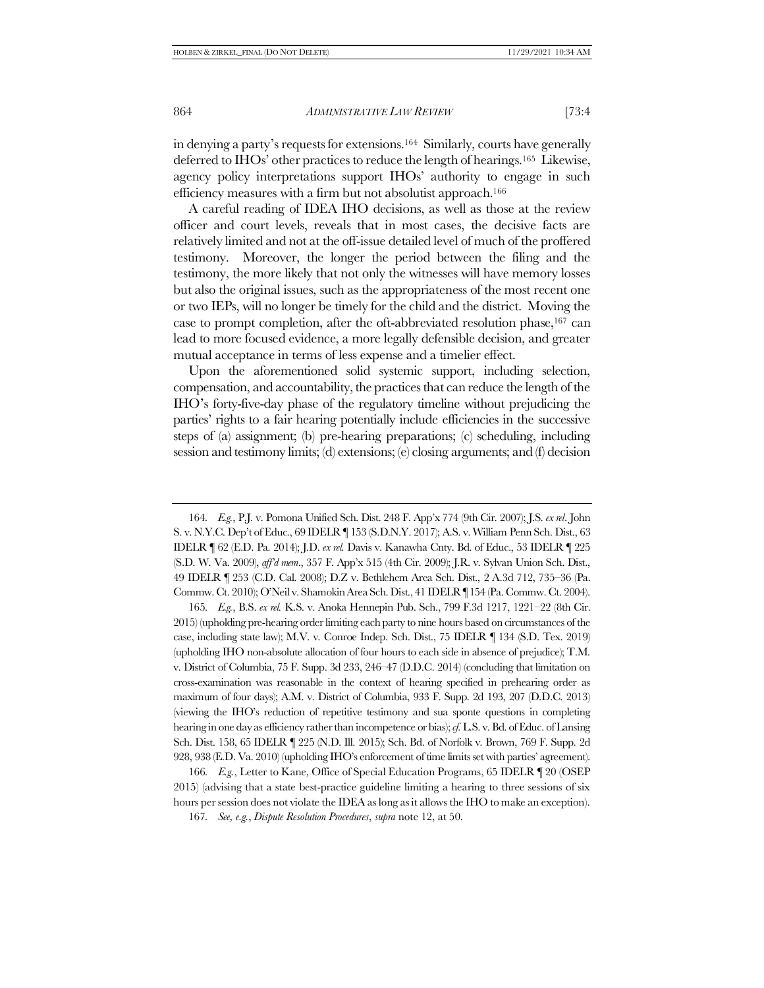in denying a party's requests for extensions.<sup>164</sup> Similarly, courts have generally deferred to IHOs' other practices to reduce the length of hearings.165 Likewise, agency policy interpretations support IHOs' authority to engage in such efficiency measures with a firm but not absolutist approach.<sup>166</sup>

A careful reading of IDEA IHO decisions, as well as those at the review officer and court levels, reveals that in most cases, the decisive facts are relatively limited and not at the off-issue detailed level of much of the proffered testimony. Moreover, the longer the period between the filing and the testimony, the more likely that not only the witnesses will have memory losses but also the original issues, such as the appropriateness of the most recent one or two IEPs, will no longer be timely for the child and the district. Moving the case to prompt completion, after the oft-abbreviated resolution phase,<sup>167</sup> can lead to more focused evidence, a more legally defensible decision, and greater mutual acceptance in terms of less expense and a timelier effect.

Upon the aforementioned solid systemic support, including selection, compensation, and accountability, the practices that can reduce the length of the IHO's forty-five-day phase of the regulatory timeline without prejudicing the parties' rights to a fair hearing potentially include efficiencies in the successive steps of (a) assignment; (b) pre-hearing preparations; (c) scheduling, including session and testimony limits; (d) extensions; (e) closing arguments; and (f) decision

165*. E.g.*, B.S. *ex rel.* K.S. v. Anoka Hennepin Pub. Sch., 799 F.3d 1217, 1221–22 (8th Cir. 2015) (upholding pre-hearing order limiting each party to nine hours based on circumstances of the case, including state law); M.V. v. Conroe Indep. Sch. Dist., 75 IDELR ¶ 134 (S.D. Tex. 2019) (upholding IHO non-absolute allocation of four hours to each side in absence of prejudice); T.M. v. District of Columbia, 75 F. Supp. 3d 233, 246–47 (D.D.C. 2014) (concluding that limitation on cross-examination was reasonable in the context of hearing specified in prehearing order as maximum of four days); A.M. v. District of Columbia, 933 F. Supp. 2d 193, 207 (D.D.C. 2013) (viewing the IHO's reduction of repetitive testimony and sua sponte questions in completing hearing in one day as efficiency rather than incompetence or bias);*cf.* L.S. v. Bd. of Educ. of Lansing Sch. Dist. 158, 65 IDELR ¶ 225 (N.D. Ill. 2015); Sch. Bd. of Norfolk v. Brown, 769 F. Supp. 2d 928, 938 (E.D. Va. 2010) (upholding IHO's enforcement of time limits set with parties' agreement).

166*. E.g.*, Letter to Kane, Office of Special Education Programs, 65 IDELR ¶ 20 (OSEP 2015) (advising that a state best-practice guideline limiting a hearing to three sessions of six hours per session does not violate the IDEA as long as it allows the IHO to make an exception).

167*. See, e.g.*, *Dispute Resolution Procedures*, *supra* not[e 12,](#page-3-0) at 50.

<sup>164</sup>*. E.g.*, P.J. v. Pomona Unified Sch. Dist. 248 F. App'x 774 (9th Cir. 2007); J.S. *ex rel*. John S. v. N.Y.C. Dep't of Educ., 69 IDELR ¶ 153 (S.D.N.Y. 2017); A.S. v. William Penn Sch. Dist., 63 IDELR ¶ 62 (E.D. Pa. 2014); J.D. *ex rel.* Davis v. Kanawha Cnty. Bd. of Educ., 53 IDELR ¶ 225 (S.D. W. Va. 2009), *aff'd mem*., 357 F. App'x 515 (4th Cir. 2009); J.R. v. Sylvan Union Sch. Dist., 49 IDELR ¶ 253 (C.D. Cal. 2008); D.Z v. Bethlehem Area Sch. Dist., 2 A.3d 712, 735–36 (Pa. Commw. Ct. 2010); O'Neil v. Shamokin Area Sch. Dist., 41 IDELR ¶ 154 (Pa. Commw. Ct. 2004).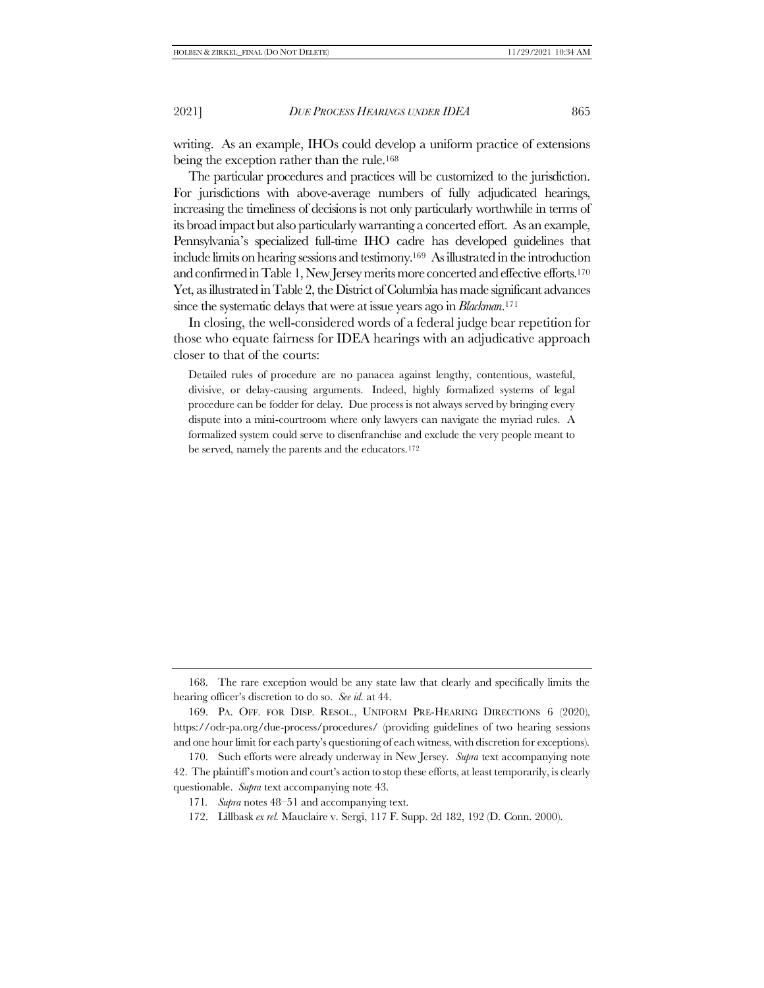writing. As an example, IHOs could develop a uniform practice of extensions being the exception rather than the rule.<sup>168</sup>

The particular procedures and practices will be customized to the jurisdiction. For jurisdictions with above-average numbers of fully adjudicated hearings, increasing the timeliness of decisions is not only particularly worthwhile in terms of its broad impact but also particularly warranting a concerted effort. As an example, Pennsylvania's specialized full-time IHO cadre has developed guidelines that include limits on hearing sessions and testimony.169 Asillustrated in the introduction and confirmed in Table 1, New Jersey merits more concerted and effective efforts.<sup>170</sup> Yet, as illustrated in Table 2, the District of Columbia has made significant advances since the systematic delays thatwere at issue years ago in *Blackman*. 171

In closing, the well-considered words of a federal judge bear repetition for those who equate fairness for IDEA hearings with an adjudicative approach closer to that of the courts:

Detailed rules of procedure are no panacea against lengthy, contentious, wasteful, divisive, or delay-causing arguments. Indeed, highly formalized systems of legal procedure can be fodder for delay. Due process is not always served by bringing every dispute into a mini-courtroom where only lawyers can navigate the myriad rules. A formalized system could serve to disenfranchise and exclude the very people meant to be served, namely the parents and the educators.<sup>172</sup>

<sup>168.</sup> The rare exception would be any state law that clearly and specifically limits the hearing officer's discretion to do so. *See id.* at 44.

<sup>169.</sup> PA. OFF. FOR DISP. RESOL., UNIFORM PRE-HEARING DIRECTIONS 6 (2020), https://odr-pa.org/due-process/procedures/ (providing guidelines of two hearing sessions and one hour limit for each party's questioning of each witness, with discretion for exceptions).

<sup>170.</sup> Such efforts were already underway in New Jersey*. Supra* text accompanying note [42](#page-9-2). The plaintiff's motion and court's action to stop these efforts, at least temporarily, is clearly questionable. *Supra* text accompanying not[e 43.](#page-10-2)

<sup>171</sup>*. Supra* note[s 48](#page-10-3)–[51](#page-11-2) and accompanying text.

<sup>172.</sup> Lillbask *ex rel.* Mauclaire v. Sergi, 117 F. Supp. 2d 182, 192 (D. Conn. 2000).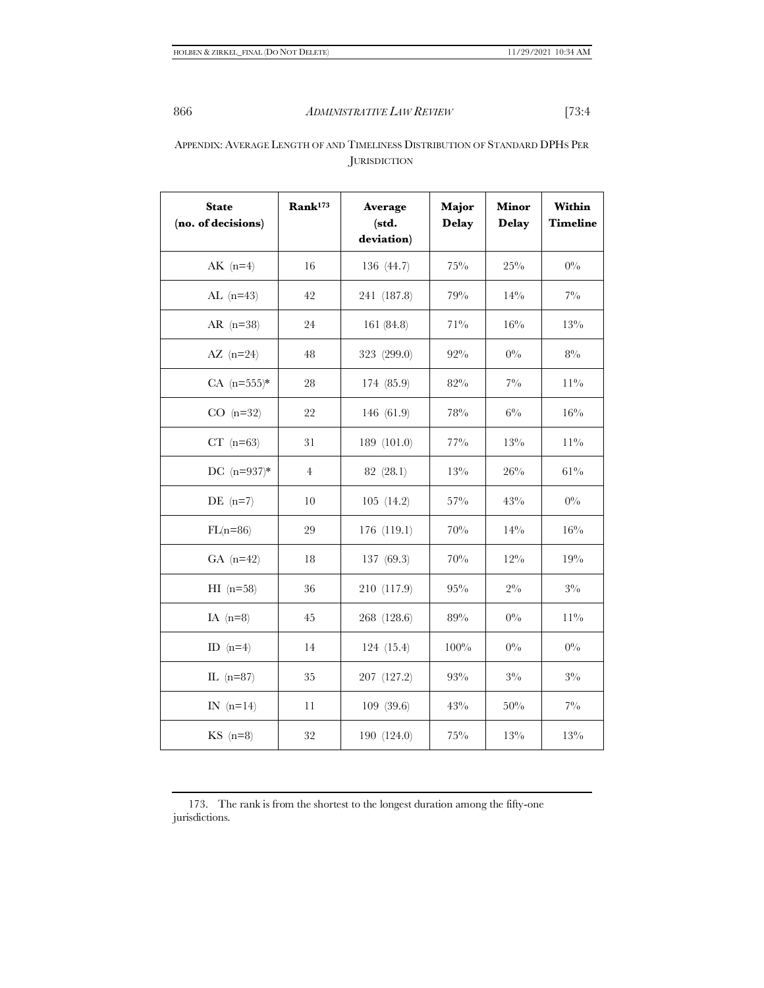# APPENDIX: AVERAGE LENGTH OF AND TIMELINESS DISTRIBUTION OF STANDARD DPHS PER JURISDICTION

| <b>State</b><br>(no. of decisions) | Rank <sup>173</sup> | Average<br>(std.<br>deviation) | Major<br><b>Delay</b> | <b>Minor</b><br><b>Delay</b> | Within<br><b>Timeline</b> |
|------------------------------------|---------------------|--------------------------------|-----------------------|------------------------------|---------------------------|
| $AK$ (n=4)                         | 16                  | 136 (44.7)                     | $75\%$                | $25\%$                       | $0\%$                     |
| AL $(n=43)$                        | 42                  | 241 (187.8)                    | 79%                   | $14\%$                       | $7\%$                     |
| AR $(n=38)$                        | 24                  | 161 (84.8)                     | $71\%$                | 16%                          | 13%                       |
| AZ $(n=24)$                        | 48                  | 323 (299.0)                    | 92%                   | $0\%$                        | $8\%$                     |
| $CA (n=555)*$                      | 28                  | 174 (85.9)                     | 82%                   | $7\%$                        | $11\%$                    |
| $CO$ (n=32)                        | 22                  | 146 (61.9)                     | 78%                   | $6\%$                        | 16%                       |
| $CT$ (n=63)                        | 31                  | 189 (101.0)                    | $77\%$                | 13%                          | $11\%$                    |
| DC $(n=937)*$                      | $\overline{4}$      | 82 (28.1)                      | $13\%$                | $26\%$                       | $61\%$                    |
| DE $(n=7)$                         | 10                  | 105(14.2)                      | $57\%$                | 43%                          | $0\%$                     |
| $FL(n=86)$                         | 29                  | 176 (119.1)                    | 70%                   | 14%                          | $16\%$                    |
| GA $(n=42)$                        | 18                  | 137 (69.3)                     | 70%                   | $12\%$                       | 19%                       |
| $HI$ (n=58)                        | 36                  | 210 (117.9)                    | $95\%$                | $2\%$                        | $3\%$                     |
| IA $(n=8)$                         | 45                  | 268 (128.6)                    | 89%                   | $0\%$                        | $11\%$                    |
| ID $(n=4)$                         | 14                  | 124 (15.4)                     | $100\%$               | $0\%$                        | $0\%$                     |
| IL $(n=87)$                        | 35                  | 207 (127.2)                    | 93%                   | $3\%$                        | $3\%$                     |
| IN $(n=14)$                        | 11                  | 109 (39.6)                     | 43%                   | 50%                          | $7\%$                     |
| $KS$ (n=8)                         | 32                  | 190 (124.0)                    | $75\%$                | 13%                          | 13%                       |

<sup>173.</sup> The rank is from the shortest to the longest duration among the fifty-one jurisdictions.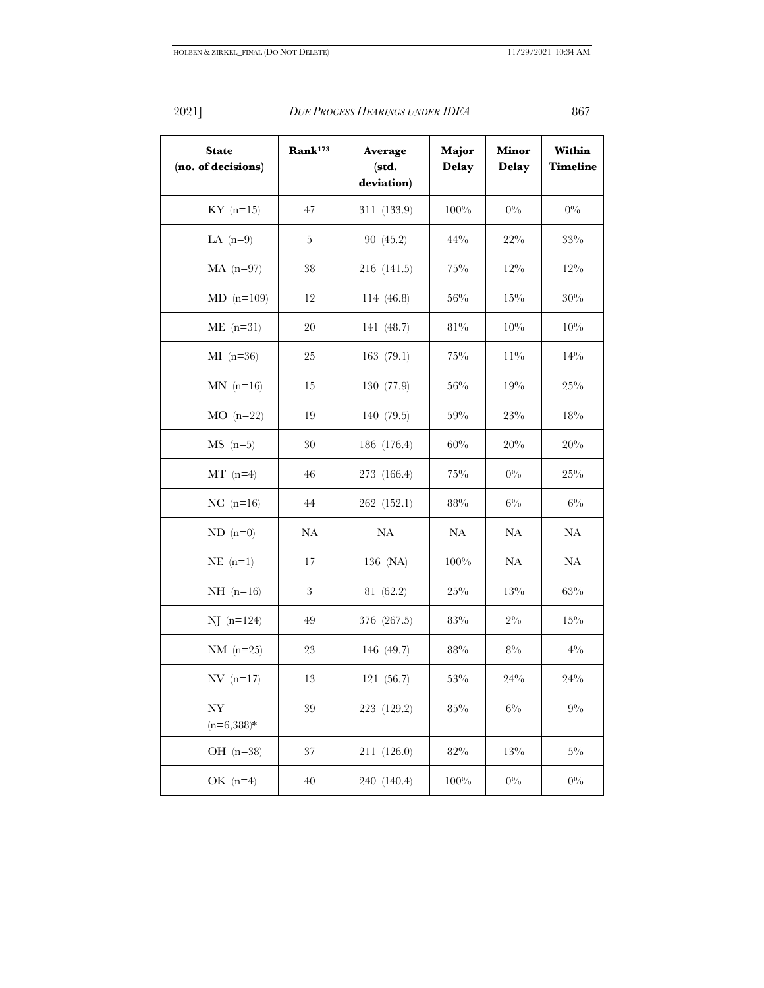| <b>State</b><br>(no. of decisions)       | Rank <sup>173</sup> | Average<br>(std.<br>deviation) | Major<br><b>Delay</b> | <b>Minor</b><br><b>Delay</b> | Within<br><b>Timeline</b> |
|------------------------------------------|---------------------|--------------------------------|-----------------------|------------------------------|---------------------------|
| $KY$ (n=15)                              | 47                  | 311 (133.9)                    | 100%                  | $0\%$                        | $0\%$                     |
| LA $(n=9)$                               | 5                   | 90 (45.2)                      | $44\%$                | $22\%$                       | $33\%$                    |
| $MA$ (n=97)                              | 38                  | 216 (141.5)                    | $75\%$                | $12\%$                       | $12\%$                    |
| $MD (n=109)$                             | 12                  | 114(46.8)                      | 56%                   | $15\%$                       | 30%                       |
| $ME$ (n=31)                              | 20                  | 141 (48.7)                     | $81\%$                | 10%                          | 10%                       |
| $MI$ (n=36)                              | 25                  | 163(79.1)                      | $75\%$                | $11\%$                       | 14%                       |
| $MN$ (n=16)                              | 15                  | 130 (77.9)                     | 56%                   | 19%                          | $25\%$                    |
| $MO$ (n=22)                              | 19                  | 140 (79.5)                     | 59%                   | 23%                          | 18%                       |
| $MS(n=5)$                                | $30\,$              | 186 (176.4)                    | 60%                   | 20%                          | 20%                       |
| $MT (n=4)$                               | 46                  | 273 (166.4)                    | $75\%$                | $0\%$                        | $25\%$                    |
| NC $(n=16)$                              | 44                  | 262 (152.1)                    | 88%                   | $6\%$                        | $6\%$                     |
| $ND$ $(n=0)$                             | NA                  | NA                             | NA                    | <b>NA</b>                    | NA                        |
| $NE$ (n=1)                               | 17                  | 136 (NA)                       | 100%                  | <b>NA</b>                    | <b>NA</b>                 |
| $NH$ (n=16)                              | 3                   | 81 (62.2)                      | $25\%$                | 13%                          | 63%                       |
| $NJ$ ( $n=124$ )                         | 49                  | 376 (267.5)                    | 83%                   | $2\%$                        | $15\%$                    |
| $NM$ (n=25)                              | 23                  | 146 (49.7)                     | 88%                   | $8\%$                        | $4\%$                     |
| $NV (n=17)$                              | 13                  | 121 (56.7)                     | $53\%$                | 24%                          | 24%                       |
| $\ensuremath{\text{NY}}$<br>$(n=6,388)*$ | 39                  | 223 (129.2)                    | $85\%$                | $6\%$                        | $9\%$                     |
| OH $(n=38)$                              | 37                  | 211 (126.0)                    | $82\%$                | $13\%$                       | $5\%$                     |
| OK $(n=4)$                               | 40                  | 240 (140.4)                    | $100\%$               | $0\%$                        | $0\%$                     |